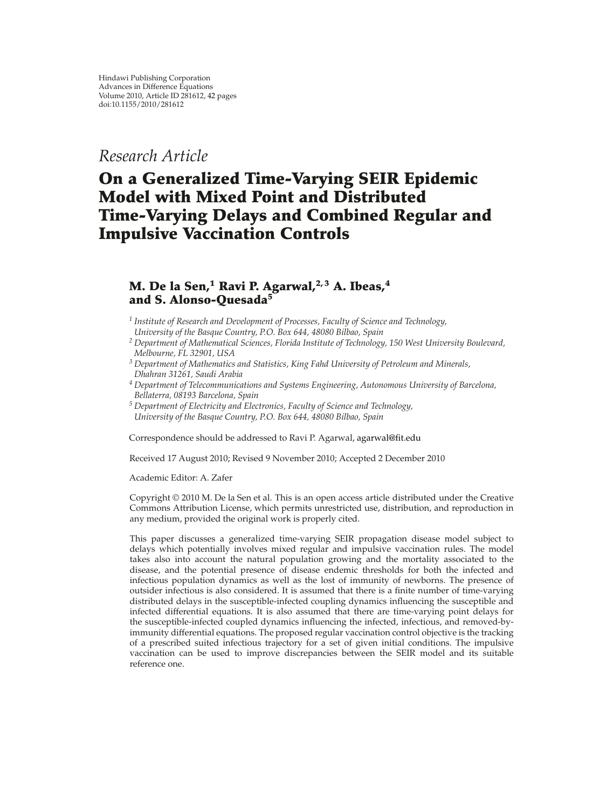# *Research Article*

# **On a Generalized Time-Varying SEIR Epidemic Model with Mixed Point and Distributed Time-Varying Delays and Combined Regular and Impulsive Vaccination Controls**

# **M. De la Sen,<sup>1</sup> Ravi P. Agarwal,2, 3 A. Ibeas,<sup>4</sup> and S. Alonso-Quesada<sup>5</sup>**

*<sup>1</sup> Institute of Research and Development of Processes, Faculty of Science and Technology, University of the Basque Country, P.O. Box 644, 48080 Bilbao, Spain*

- *<sup>2</sup> Department of Mathematical Sciences, Florida Institute of Technology, 150 West University Boulevard, Melbourne, FL 32901, USA*
- *<sup>3</sup> Department of Mathematics and Statistics, King Fahd University of Petroleum and Minerals, Dhahran 31261, Saudi Arabia*
- *<sup>4</sup> Department of Telecommunications and Systems Engineering, Autonomous University of Barcelona, Bellaterra, 08193 Barcelona, Spain*
- *<sup>5</sup> Department of Electricity and Electronics, Faculty of Science and Technology, University of the Basque Country, P.O. Box 644, 48080 Bilbao, Spain*

Correspondence should be addressed to Ravi P. Agarwal, agarwal@fit.edu

Received 17 August 2010; Revised 9 November 2010; Accepted 2 December 2010

Academic Editor: A. Zafer

Copyright  $@ 2010$  M. De la Sen et al. This is an open access article distributed under the Creative Commons Attribution License, which permits unrestricted use, distribution, and reproduction in any medium, provided the original work is properly cited.

This paper discusses a generalized time-varying SEIR propagation disease model subject to delays which potentially involves mixed regular and impulsive vaccination rules. The model takes also into account the natural population growing and the mortality associated to the disease, and the potential presence of disease endemic thresholds for both the infected and infectious population dynamics as well as the lost of immunity of newborns. The presence of outsider infectious is also considered. It is assumed that there is a finite number of time-varying distributed delays in the susceptible-infected coupling dynamics influencing the susceptible and infected differential equations. It is also assumed that there are time-varying point delays for the susceptible-infected coupled dynamics influencing the infected, infectious, and removed-byimmunity differential equations. The proposed regular vaccination control objective is the tracking of a prescribed suited infectious trajectory for a set of given initial conditions. The impulsive vaccination can be used to improve discrepancies between the SEIR model and its suitable reference one.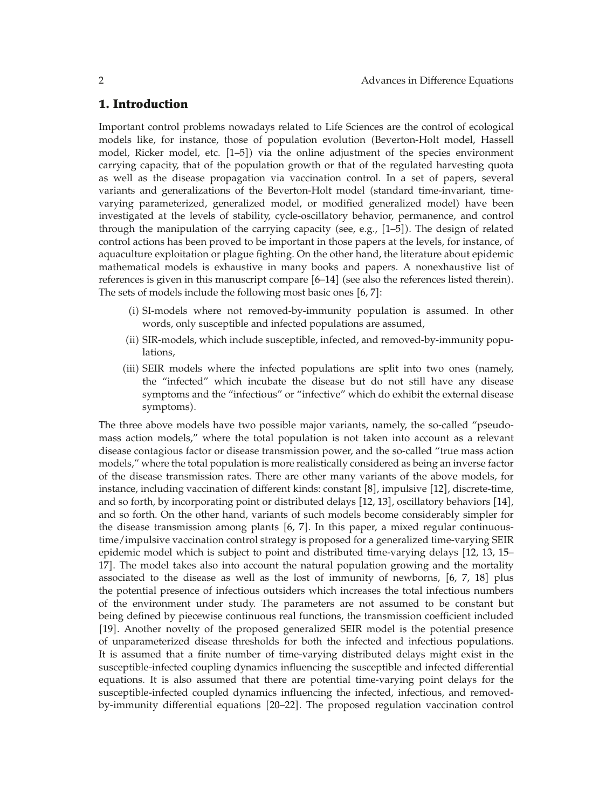### **1. Introduction**

Important control problems nowadays related to Life Sciences are the control of ecological models like, for instance, those of population evolution (Beverton-Holt model, Hassell model, Ricker model, etc.  $[1-5]$  via the online adjustment of the species environment carrying capacity, that of the population growth or that of the regulated harvesting quota as well as the disease propagation via vaccination control. In a set of papers, several variants and generalizations of the Beverton-Holt model (standard time-invariant, timevarying parameterized, generalized model, or modified generalized model) have been investigated at the levels of stability, cycle-oscillatory behavior, permanence, and control through the manipulation of the carrying capacity (see, e.g.,  $[1-5]$ ). The design of related control actions has been proved to be important in those papers at the levels, for instance, of aquaculture exploitation or plague fighting. On the other hand, the literature about epidemic mathematical models is exhaustive in many books and papers. A nonexhaustive list of references is given in this manuscript compare  $[6-14]$  (see also the references listed therein). The sets of models include the following most basic ones  $[6, 7]$ :

- i SI-models where not removed-by-immunity population is assumed. In other words, only susceptible and infected populations are assumed,
- (ii) SIR-models, which include susceptible, infected, and removed-by-immunity populations,
- (iii) SEIR models where the infected populations are split into two ones (namely, the "infected" which incubate the disease but do not still have any disease symptoms and the "infectious" or "infective" which do exhibit the external disease symptoms).

The three above models have two possible major variants, namely, the so-called "pseudomass action models," where the total population is not taken into account as a relevant disease contagious factor or disease transmission power, and the so-called "true mass action models," where the total population is more realistically considered as being an inverse factor of the disease transmission rates. There are other many variants of the above models, for instance, including vaccination of different kinds: constant [8], impulsive [12], discrete-time, and so forth, by incorporating point or distributed delays [12, 13], oscillatory behaviors [14], and so forth. On the other hand, variants of such models become considerably simpler for the disease transmission among plants  $[6, 7]$ . In this paper, a mixed regular continuoustime/impulsive vaccination control strategy is proposed for a generalized time-varying SEIR epidemic model which is subject to point and distributed time-varying delays 12, 13, 15– 17. The model takes also into account the natural population growing and the mortality associated to the disease as well as the lost of immunity of newborns,  $[6, 7, 18]$  plus the potential presence of infectious outsiders which increases the total infectious numbers of the environment under study. The parameters are not assumed to be constant but being defined by piecewise continuous real functions, the transmission coefficient included [19]. Another novelty of the proposed generalized SEIR model is the potential presence of unparameterized disease thresholds for both the infected and infectious populations. It is assumed that a finite number of time-varying distributed delays might exist in the susceptible-infected coupling dynamics influencing the susceptible and infected differential equations. It is also assumed that there are potential time-varying point delays for the susceptible-infected coupled dynamics influencing the infected, infectious, and removedby-immunity differential equations 20–22. The proposed regulation vaccination control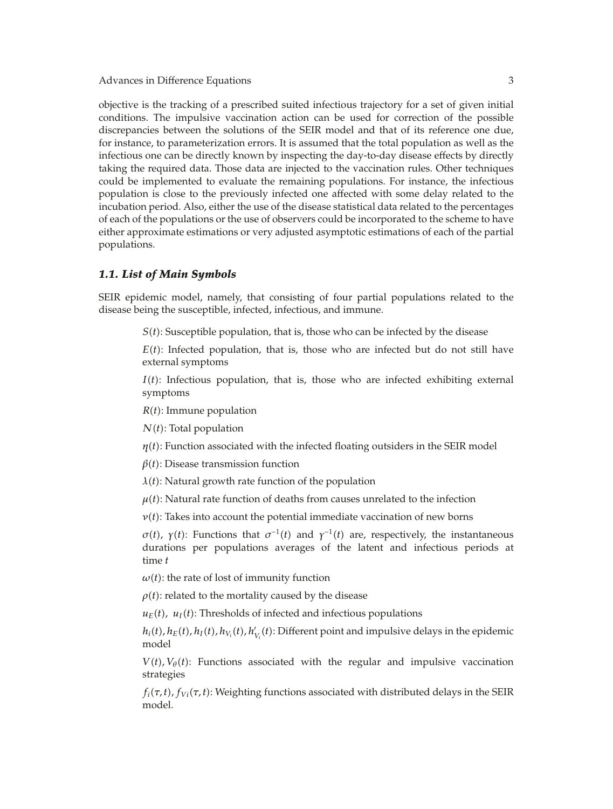objective is the tracking of a prescribed suited infectious trajectory for a set of given initial conditions. The impulsive vaccination action can be used for correction of the possible discrepancies between the solutions of the SEIR model and that of its reference one due, for instance, to parameterization errors. It is assumed that the total population as well as the infectious one can be directly known by inspecting the day-to-day disease effects by directly taking the required data. Those data are injected to the vaccination rules. Other techniques could be implemented to evaluate the remaining populations. For instance, the infectious population is close to the previously infected one affected with some delay related to the incubation period. Also, either the use of the disease statistical data related to the percentages of each of the populations or the use of observers could be incorporated to the scheme to have either approximate estimations or very adjusted asymptotic estimations of each of the partial populations.

### *1.1. List of Main Symbols*

SEIR epidemic model, namely, that consisting of four partial populations related to the disease being the susceptible, infected, infectious, and immune.

*S*(*t*): Susceptible population, that is, those who can be infected by the disease

 $E(t)$ : Infected population, that is, those who are infected but do not still have external symptoms

 $I(t)$ : Infectious population, that is, those who are infected exhibiting external symptoms

*Rt*: Immune population

*Nt*: Total population

 $\eta(t)$ : Function associated with the infected floating outsiders in the SEIR model

 $\beta(t)$ : Disease transmission function

*λt*: Natural growth rate function of the population

 $\mu(t)$ : Natural rate function of deaths from causes unrelated to the infection

 $\nu(t)$ : Takes into account the potential immediate vaccination of new borns

*σ*(*t*), *γ*(*t*): Functions that  $σ^{-1}(t)$  and  $γ^{-1}(t)$  are, respectively, the instantaneous durations per populations averages of the latent and infectious periods at time *t*

 $\omega(t)$ : the rate of lost of immunity function

 $\rho(t)$ : related to the mortality caused by the disease

 $u_E(t)$ ,  $u_I(t)$ : Thresholds of infected and infectious populations

 $h_i(t)$ ,  $h_E(t)$ ,  $h_I(t)$ ,  $h_{V_i}(t)$ ,  $h'_{V_i}(t)$ : Different point and impulsive delays in the epidemic model

 $V(t)$ ,  $V_{\theta}(t)$ : Functions associated with the regular and impulsive vaccination strategies

 $f_i(\tau, t)$ ,  $f_{Vi}(\tau, t)$ : Weighting functions associated with distributed delays in the SEIR model.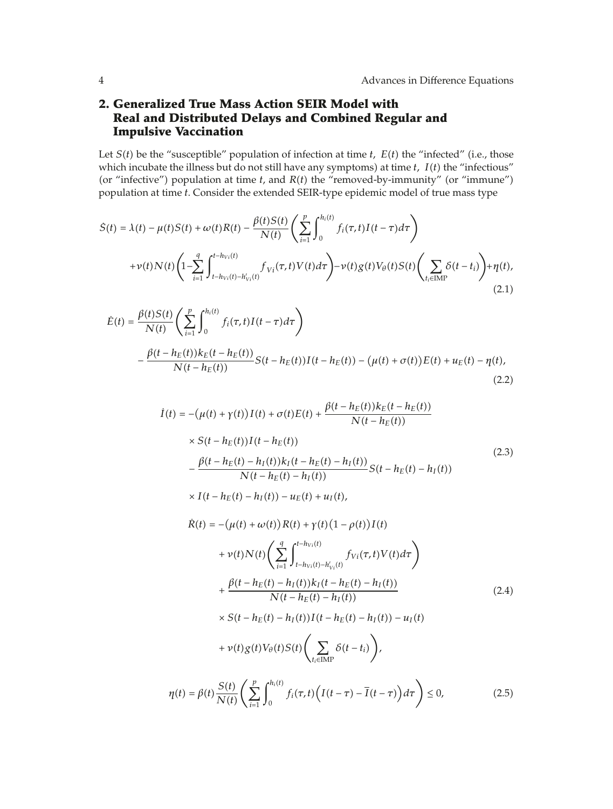# **2. Generalized True Mass Action SEIR Model with Real and Distributed Delays and Combined Regular and Impulsive Vaccination**

Let  $S(t)$  be the "susceptible" population of infection at time  $t$ ,  $E(t)$  the "infected" (i.e., those which incubate the illness but do not still have any symptoms) at time  $t$ ,  $I(t)$  the "infectious" (or "infective") population at time  $t$ , and  $R(t)$  the "removed-by-immunity" (or "immune") population at time *t*. Consider the extended SEIR-type epidemic model of true mass type

$$
\dot{S}(t) = \lambda(t) - \mu(t)S(t) + \omega(t)R(t) - \frac{\beta(t)S(t)}{N(t)} \left( \sum_{i=1}^{p} \int_{0}^{h_i(t)} f_i(\tau, t)I(t - \tau) d\tau \right) \n+ \nu(t)N(t) \left( 1 - \sum_{i=1}^{q} \int_{t - h_{Vi}(t) - h'_{Vi}(t)}^{t - h_{Vi}(t)} f_{Vi}(\tau, t) V(t) d\tau \right) - \nu(t)g(t)V_{\theta}(t)S(t) \left( \sum_{t_i \in \text{IMP}} \delta(t - t_i) \right) + \eta(t),
$$
\n(2.1)

$$
\dot{E}(t) = \frac{\beta(t)S(t)}{N(t)} \left( \sum_{i=1}^{p} \int_{0}^{h_i(t)} f_i(\tau, t) I(t - \tau) d\tau \right)
$$
  
 
$$
- \frac{\beta(t - h_E(t))k_E(t - h_E(t))}{N(t - h_E(t))} S(t - h_E(t)) I(t - h_E(t)) - (\mu(t) + \sigma(t)) E(t) + u_E(t) - \eta(t),
$$
\n(2.2)

$$
\dot{I}(t) = -(\mu(t) + \gamma(t))I(t) + \sigma(t)E(t) + \frac{\beta(t - h_E(t))k_E(t - h_E(t))}{N(t - h_E(t))}
$$
\n
$$
\times S(t - h_E(t))I(t - h_E(t))
$$
\n
$$
- \frac{\beta(t - h_E(t) - h_I(t))k_I(t - h_E(t) - h_I(t))}{N(t - h_E(t) - h_I(t))}S(t - h_E(t) - h_I(t))
$$
\n
$$
\times I(t - h_E(t) - h_I(t)) - u_E(t) + u_I(t),
$$
\n
$$
\dot{R}(t) = -(\mu(t) + \omega(t))R(t) + \gamma(t)(1 - \rho(t))I(t)
$$
\n
$$
+ \nu(t)N(t)\left(\sum_{i=1}^{q} \int_{t - h_{Vi}(t) - h'_{Vi}(t)}^{t - h_{Vi}(t)} f_{Vi}(\tau, t)V(t)d\tau\right)
$$
\n
$$
+ \frac{\beta(t - h_E(t) - h_I(t))k_I(t - h_E(t) - h_I(t))}{N(t - h_E(t) - h_I(t))}
$$
\n
$$
\times S(t - h_E(t) - h_I(t))I(t - h_E(t) - h_I(t)) - u_I(t)
$$
\n
$$
+ \nu(t)g(t)V_{\theta}(t)S(t)\left(\sum_{t_i \in \text{IMP}} \delta(t - t_i)\right),
$$
\n(2.4)

$$
\eta(t) = \beta(t) \frac{S(t)}{N(t)} \left( \sum_{i=1}^p \int_0^{h_i(t)} f_i(\tau, t) \left( I(t-\tau) - \overline{I}(t-\tau) \right) d\tau \right) \le 0,
$$
\n(2.5)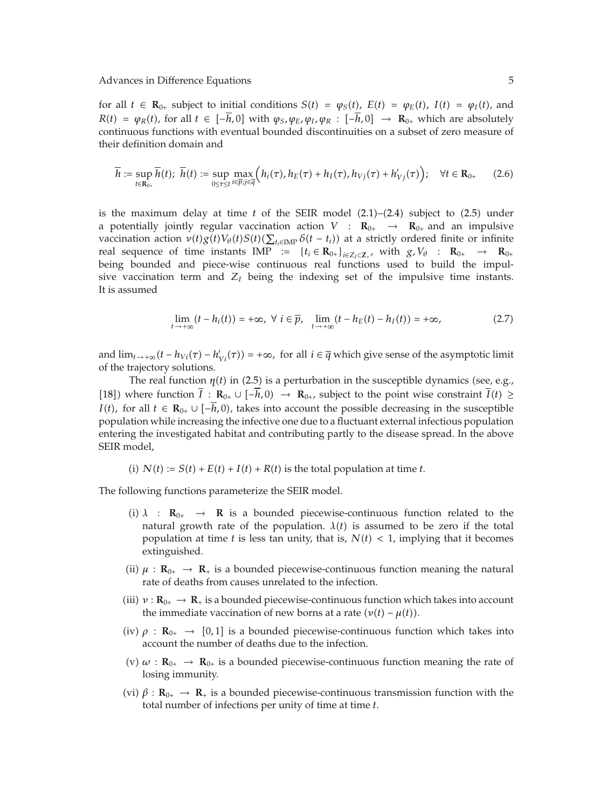for all  $t \in \mathbf{R}_{0+}$  subject to initial conditions  $S(t) = \varphi_S(t)$ ,  $E(t) = \varphi_E(t)$ ,  $I(t) = \varphi_I(t)$ , and  $R(t) = \varphi_R(t)$ , for all  $t \in [-\overline{h}, 0]$  with  $\varphi_S, \varphi_E, \varphi_I, \varphi_R : [-\overline{h}, 0] \to \mathbb{R}_{0+}$  which are absolutely continuous functions with eventual bounded discontinuities on a subset of zero measure of their definition domain and

$$
\overline{h} := \sup_{t \in \mathbf{R}_{0+}} \overline{h}(t); \ \overline{h}(t) := \sup_{0 \le \tau \le t} \max_{i \in \overline{p}; j \in \overline{q}} \Big( h_i(\tau), h_E(\tau) + h_I(\tau), h_{Vj}(\tau) + h'_{Vj}(\tau) \Big); \quad \forall t \in \mathbf{R}_{0+}
$$
 (2.6)

is the maximum delay at time  $t$  of the SEIR model  $(2.1)$ – $(2.4)$  subject to  $(2.5)$  under a potentially jointly regular vaccination action  $V : \mathbf{R}_{0+} \rightarrow \mathbf{R}_{0+}$  and an impulsive vaccination action  $v(t)g(t)V_{\theta}(t)S(t)(\sum_{t_i\in \text{IMP}}\delta(t-t_i))$  at a strictly ordered finite or infinite real sequence of time instants IMP :=  $\{t_i \in \mathbf{R}_{0+}\}_{i \in Z_I \subset Z_+}$ , with  $g, V_\theta$  :  $\mathbf{R}_{0+} \to \mathbf{R}_{0+}$ being bounded and piece-wise continuous real functions used to build the impulsive vaccination term and  $Z_I$  being the indexing set of the impulsive time instants. It is assumed

$$
\lim_{t \to +\infty} (t - h_i(t)) = +\infty, \ \forall \ i \in \overline{p}, \ \lim_{t \to +\infty} (t - h_E(t) - h_I(t)) = +\infty,
$$
\n(2.7)

and  $\lim_{t\to+\infty}(t-h_{Vi}(\tau)-h'_{Vi}(\tau))=+\infty$ , for all  $i\in\overline{q}$  which give sense of the asymptotic limit of the trajectory solutions.

The real function  $\eta(t)$  in (2.5) is a perturbation in the susceptible dynamics (see, e.g., [18]) where function  $\overline{I}$  :  $\mathbf{R}_{0+}$  ∪  $\overline{I}$  −*h*, 0) →  $\mathbf{R}_{0+}$ , subject to the point wise constraint  $\overline{I}(t)$  ≥ *I*(*t*), for all *t* ∈ **R**<sub>0</sub>+ ∪  $[-h, 0)$ , takes into account the possible decreasing in the susceptible population while increasing the infective one due to a fluctuant external infectious population entering the investigated habitat and contributing partly to the disease spread. In the above SEIR model,

(i)  $N(t) := S(t) + E(t) + I(t) + R(t)$  is the total population at time *t*.

The following functions parameterize the SEIR model.

- (i)  $\lambda$  :  $\mathbf{R}_{0+}$   $\rightarrow$  **R** is a bounded piecewise-continuous function related to the natural growth rate of the population.  $\lambda(t)$  is assumed to be zero if the total population at time *t* is less tan unity, that is,  $N(t) < 1$ , implying that it becomes extinguished.
- (ii)  $\mu$  : **R**<sub>0</sub>  $\rightarrow$  **R**<sub>+</sub> is a bounded piecewise-continuous function meaning the natural rate of deaths from causes unrelated to the infection.
- (iii)  $\nu$  :  $\mathbf{R}_{0+} \to \mathbf{R}_+$  is a bounded piecewise-continuous function which takes into account the immediate vaccination of new borns at a rate  $(v(t) - \mu(t))$ .
- (iv)  $\rho$  : **R**<sub>0</sub>+  $\rightarrow$  [0,1] is a bounded piecewise-continuous function which takes into account the number of deaths due to the infection.
- (v)  $\omega$  :  $\mathbf{R}_{0+} \to \mathbf{R}_{0+}$  is a bounded piecewise-continuous function meaning the rate of losing immunity.
- (vi)  $\beta$  :  $\mathbf{R}_{0+} \to \mathbf{R}_+$  is a bounded piecewise-continuous transmission function with the total number of infections per unity of time at time *t*.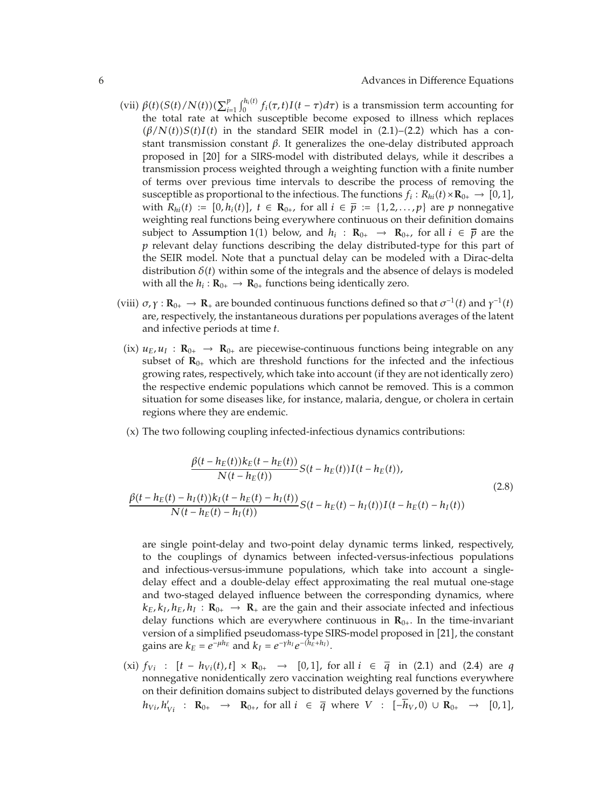- $(vii)$   $\beta(t)$  $(S(t)/N(t))$  $(\sum_{i}^{p}$  $\int_{i=1}^{p} \int_{0}^{h_i(t)} f_i(\tau, t) I(t - \tau) d\tau$ ) is a transmission term accounting for the total rate at which susceptible become exposed to illness which replaces  $(\beta/N(t))S(t)I(t)$  in the standard SEIR model in (2.1)–(2.2) which has a constant transmission constant *β*. It generalizes the one-delay distributed approach proposed in [20] for a SIRS-model with distributed delays, while it describes a transmission process weighted through a weighting function with a finite number of terms over previous time intervals to describe the process of removing the susceptible as proportional to the infectious. The functions  $f_i: R_{hi}(t) \times R_{0+} \rightarrow [0,1],$ with  $R_{hi}(t) := [0, h_i(t)]$ ,  $t \in \mathbb{R}_{0+}$ , for all  $i \in \overline{p} := \{1, 2, ..., p\}$  are *p* nonnegative weighting real functions being everywhere continuous on their definition domains subject to Assumption 1(1) below, and  $h_i$ :  $\mathbf{R}_{0+} \rightarrow \mathbf{R}_{0+}$ , for all  $i \in \overline{p}$  are the *p* relevant delay functions describing the delay distributed-type for this part of the SEIR model. Note that a punctual delay can be modeled with a Dirac-delta distribution  $\delta(t)$  within some of the integrals and the absence of delays is modeled with all the  $h_i : \mathbf{R}_{0+} \to \mathbf{R}_{0+}$  functions being identically zero.
- (viii)  $σ, γ : **R**<sub>0+</sub> → **R**<sub>+</sub>$  are bounded continuous functions defined so that  $σ^{-1}(t)$  and  $γ^{-1}(t)$ are, respectively, the instantaneous durations per populations averages of the latent and infective periods at time *t*.
- (ix)  $u_E, u_I : \mathbf{R}_{0+} \to \mathbf{R}_{0+}$  are piecewise-continuous functions being integrable on any subset of  $\mathbf{R}_{0+}$  which are threshold functions for the infected and the infectious growing rates, respectively, which take into account if they are not identically zero the respective endemic populations which cannot be removed. This is a common situation for some diseases like, for instance, malaria, dengue, or cholera in certain regions where they are endemic.
- (x) The two following coupling infected-infectious dynamics contributions:

$$
\frac{\beta(t - h_E(t))k_E(t - h_E(t))}{N(t - h_E(t))} S(t - h_E(t))I(t - h_E(t)),
$$
\n
$$
\frac{\beta(t - h_E(t) - h_I(t))k_I(t - h_E(t) - h_I(t))}{N(t - h_E(t) - h_I(t))} S(t - h_E(t) - h_I(t))I(t - h_E(t) - h_I(t))
$$
\n(2.8)

are single point-delay and two-point delay dynamic terms linked, respectively, to the couplings of dynamics between infected-versus-infectious populations and infectious-versus-immune populations, which take into account a singledelay effect and a double-delay effect approximating the real mutual one-stage and two-staged delayed influence between the corresponding dynamics, where  $k_E, k_I, h_E, h_I : \mathbf{R}_{0+} \rightarrow \mathbf{R}_+$  are the gain and their associate infected and infectious delay functions which are everywhere continuous in  $\mathbf{R}_{0+}$ . In the time-invariant version of a simplified pseudomass-type SIRS-model proposed in 21, the constant gains are  $k_E = e^{-\mu h_E}$  and  $k_I = e^{-\gamma h_I} e^{-(h_E + h_I)}$ .

 $(xi) f_{Vi}$  :  $[t - h_{Vi}(t), t] \times \mathbb{R}_{0+}$  → [0,1], for all  $i \in \bar{q}$  in (2.1) and (2.4) are *q* nonnegative nonidentically zero vaccination weighting real functions everywhere on their definition domains subject to distributed delays governed by the functions  $h_{Vi}, h'_{Vi}$  : **R**<sub>0</sub>+ → **R**<sub>0</sub>+, for all  $i \in \overline{q}$  where  $V$  :  $[-h_V, 0) \cup \mathbf{R}_{0+}$  →  $[0, 1]$ ,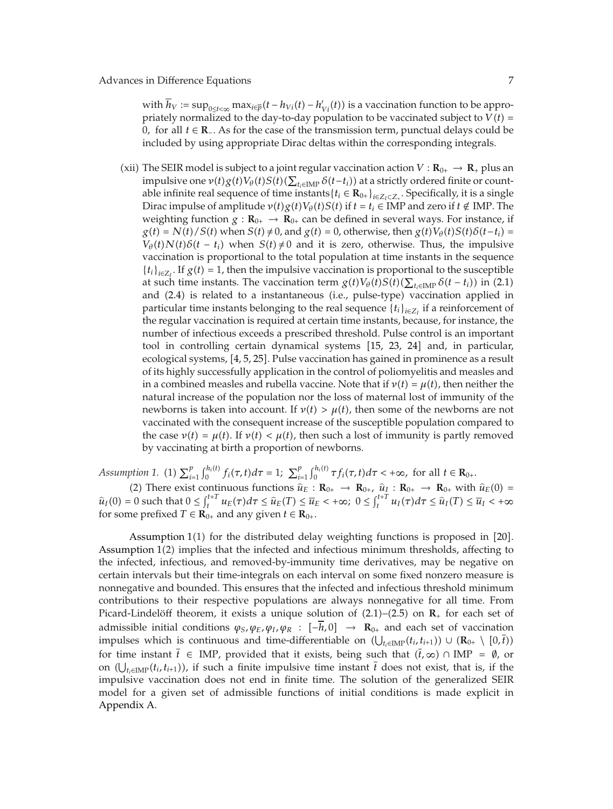with  $h_V := \sup_{0 \le t < \infty} \max_{i \in \overline{p}} (t - h_{Vi}(t) - h'_{Vi}(t))$  is a vaccination function to be appropriately normalized to the day-to-day population to be vaccinated subject to  $V(t)$  = <sup>0</sup>*,* for all *<sup>t</sup>* <sup>∈</sup> **R**<sup>−</sup>. As for the case of the transmission term, punctual delays could be included by using appropriate Dirac deltas within the corresponding integrals.

(xii) The SEIR model is subject to a joint regular vaccination action  $V : \mathbf{R}_{0+} \to \mathbf{R}_+$  plus an impulsive one  $v(t)g(t)V_{\theta}(t)S(t)(\sum_{t_i\in\text{IMP}}\delta(t-t_i))$  at a strictly ordered finite or countable infinite real sequence of time instants { $t_i$  ∈  $\mathbf{R}_{0+}$ }<sub>*i*∈*Z*<sub>*i*</sub>⊂*Z*<sub>*i*</sub>. Specifically, it is a single</sub> Dirac impulse of amplitude  $v(t)g(t)V_{\theta}(t)S(t)$  if  $t = t_i \in \text{IMP}$  and zero if  $t \notin \text{IMP}$ . The weighting function  $g : \mathbf{R}_{0+} \to \mathbf{R}_{0+}$  can be defined in several ways. For instance, if  $g(t) = N(t)/S(t)$  when  $S(t) \neq 0$ , and  $g(t) = 0$ , otherwise, then  $g(t)V_{\theta}(t)S(t)\delta(t-t_i)$  $V_{\theta}(t)N(t)\delta(t-t_i)$  when  $S(t)\neq 0$  and it is zero, otherwise. Thus, the impulsive vaccination is proportional to the total population at time instants in the sequence  ${t_i}_{i \in Z_I}$ . If  $g(t) = 1$ , then the impulsive vaccination is proportional to the susceptible at such time instants. The vaccination term  $g(t)V_{\theta}(t)S(t)(\sum_{t_i \in \text{IMP}} \delta(t - t_i))$  in (2.1) and (2.4) is related to a instantaneous (i.e., pulse-type) vaccination applied in particular time instants belonging to the real sequence  $\{t_i\}_{i\in \mathbb{Z}_I}$  if a reinforcement of the regular vaccination is required at certain time instants, because, for instance, the number of infectious exceeds a prescribed threshold. Pulse control is an important tool in controlling certain dynamical systems [15, 23, 24] and, in particular, ecological systems, [4, 5, 25]. Pulse vaccination has gained in prominence as a result of its highly successfully application in the control of poliomyelitis and measles and in a combined measles and rubella vaccine. Note that if  $v(t) = \mu(t)$ , then neither the natural increase of the population nor the loss of maternal lost of immunity of the newborns is taken into account. If  $v(t) > \mu(t)$ , then some of the newborns are not vaccinated with the consequent increase of the susceptible population compared to the case  $v(t) = \mu(t)$ . If  $v(t) < \mu(t)$ , then such a lost of immunity is partly removed by vaccinating at birth a proportion of newborns.

*Assumption 1.* (1)  $\sum_{i=1}^{p}$  $\int_{i=1}^{p} \int_{0}^{h_i(t)} f_i(\tau, t) d\tau = 1; \sum_{i=1}^{p}$  $\int_{i=1}^{p} \int_{0}^{h_i(t)} \tau f_i(\tau, t) d\tau < +\infty$ , for all  $t \in \mathbb{R}_{0+1}$ .

(2) There exist continuous functions  $\hat{u}_E : \mathbf{R}_{0+} \to \mathbf{R}_{0+}$ ,  $\hat{u}_I : \mathbf{R}_{0+} \to \mathbf{R}_{0+}$  with  $\hat{u}_E(0) =$ <br> $\hat{u}_E(0)$  and that  $0 \leq \hat{u}^{t+T} u$ ,  $\hat{u}_E(0) \leq \hat{u}_E \leq \hat{u}_E(0)$ ,  $\hat{u}_E(0) \leq \hat{u}_E(0) \leq \hat{u}_E$  $\hat{u}_I(0) = 0$  such that  $0 \le \int_t^{t+T} u_E(\tau) d\tau \le \hat{u}_E(T) \le \overline{u}_E < +\infty$ ;  $0 \le \int_t^{t+T} u_I(\tau) d\tau \le \hat{u}_I(T) \le \overline{u}_I < +\infty$ for some prefixed  $T \in \mathbf{R}_{0+}$  and any given  $t \in \mathbf{R}_{0+}$ .

Assumption  $1(1)$  for the distributed delay weighting functions is proposed in  $[20]$ . Assumption 1(2) implies that the infected and infectious minimum thresholds, affecting to the infected, infectious, and removed-by-immunity time derivatives, may be negative on certain intervals but their time-integrals on each interval on some fixed nonzero measure is nonnegative and bounded. This ensures that the infected and infectious threshold minimum contributions to their respective populations are always nonnegative for all time. From Picard-Lindelöff theorem, it exists a unique solution of  $(2.1)$ – $(2.5)$  on  $\mathbb{R}_+$  for each set of admissible initial conditions  $\varphi_S$ ,  $\varphi_E$ ,  $\varphi_I$ ,  $\varphi_R$  :  $[-\overline{h}$ , 0  $\rightarrow$  **R**<sub>0+</sub> and each set of vaccination impulses which is continuous and time-differentiable on  $(\bigcup_{t_i \in \text{IMP}} (t_i, t_{i+1})) \cup (\mathbf{R}_{0+} \setminus [0, t))$ <br>for time instant  $\overline{t} \in \text{IMP}$  are vided that it wists heine such that  $(\overline{t}, \ldots) \in \text{IMP}$  and are for time instant  $\bar{t} \in \text{IMP}$ , provided that it exists, being such that  $(\bar{t}, \infty) \cap \text{IMP} = \emptyset$ , or on  $(\bigcup_{t_i \in \text{IMP}} (t_i, t_{i+1}))$ , if such a finite impulsive time instant *t* does not exist, that is, if the impulsive vaccination does not end in finite time. The solution of the generalized SEIR model for a given set of admissible functions of initial conditions is made explicit in Appendix A.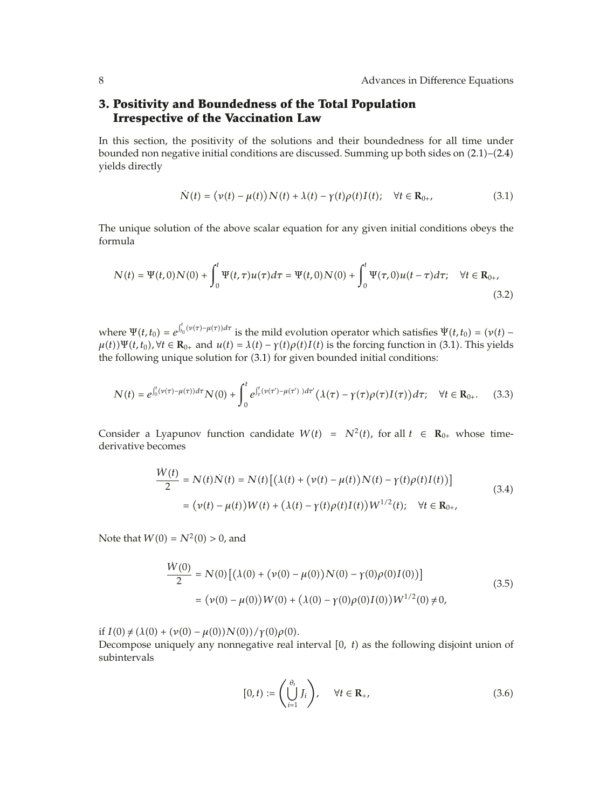# **3. Positivity and Boundedness of the Total Population Irrespective of the Vaccination Law**

In this section, the positivity of the solutions and their boundedness for all time under bounded non negative initial conditions are discussed. Summing up both sides on  $(2.1)$ – $(2.4)$ yields directly

$$
\dot{N}(t) = (\nu(t) - \mu(t))N(t) + \lambda(t) - \gamma(t)\rho(t)I(t); \quad \forall t \in \mathbf{R}_{0+},
$$
\n(3.1)

The unique solution of the above scalar equation for any given initial conditions obeys the formula

$$
N(t) = \Psi(t,0)N(0) + \int_0^t \Psi(t,\tau)u(\tau)d\tau = \Psi(t,0)N(0) + \int_0^t \Psi(\tau,0)u(t-\tau)d\tau; \quad \forall t \in \mathbf{R}_{0+},
$$
\n(3.2)

where  $\Psi(t, t_0) = e^{\int_{t_0}^t (\nu(\tau) - \mu(\tau)) d\tau}$  is the mild evolution operator which satisfies  $\Psi(t, t_0) = (\nu(t) - \nu(t))$  $\mu(t)$ ) $\Psi(t, t_0)$ ,  $\forall t \in \mathbb{R}_{0+}$  and  $u(t) = \lambda(t) - \gamma(t) \rho(t) I(t)$  is the forcing function in (3.1). This yields the following unique solution for  $(3.1)$  for given bounded initial conditions:

$$
N(t) = e^{\int_0^t (\nu(\tau) - \mu(\tau))d\tau} N(0) + \int_0^t e^{\int_\tau^t (\nu(\tau') - \mu(\tau'))d\tau'} (\lambda(\tau) - \gamma(\tau)\rho(\tau)I(\tau))d\tau; \quad \forall t \in \mathbf{R}_{0+}.
$$
 (3.3)

Consider a Lyapunov function candidate  $W(t) = N^2(t)$ , for all  $t \in \mathbb{R}_{0+}$  whose timederivative becomes

$$
\frac{W(t)}{2} = N(t)\dot{N}(t) = N(t) \left[ (\lambda(t) + (\nu(t) - \mu(t))N(t) - \gamma(t)\rho(t)I(t)) \right]
$$
  
= (\nu(t) - \mu(t))W(t) + (\lambda(t) - \gamma(t)\rho(t)I(t))W^{1/2}(t); \quad \forall t \in \mathbf{R}\_{0+}, (3.4)

Note that  $W(0) = N^2(0) > 0$ , and

*W*˙ *t*

$$
\frac{\dot{W}(0)}{2} = N(0) \left[ (\lambda(0) + (\nu(0) - \mu(0)) N(0) - \gamma(0) \rho(0) I(0)) \right]
$$
  
= (\nu(0) - \mu(0)) W(0) + (\lambda(0) - \gamma(0) \rho(0) I(0)) W<sup>1/2</sup>(0) \neq 0, (3.5)

if  $I(0) \neq (\lambda(0) + (\nu(0) - \mu(0))N(0))/\gamma(0)\rho(0)$ .

Decompose uniquely any nonnegative real interval [0, t) as the following disjoint union of subintervals

$$
[0,t) := \left(\bigcup_{i=1}^{\theta_t} J_i\right), \quad \forall t \in \mathbf{R}_+, \tag{3.6}
$$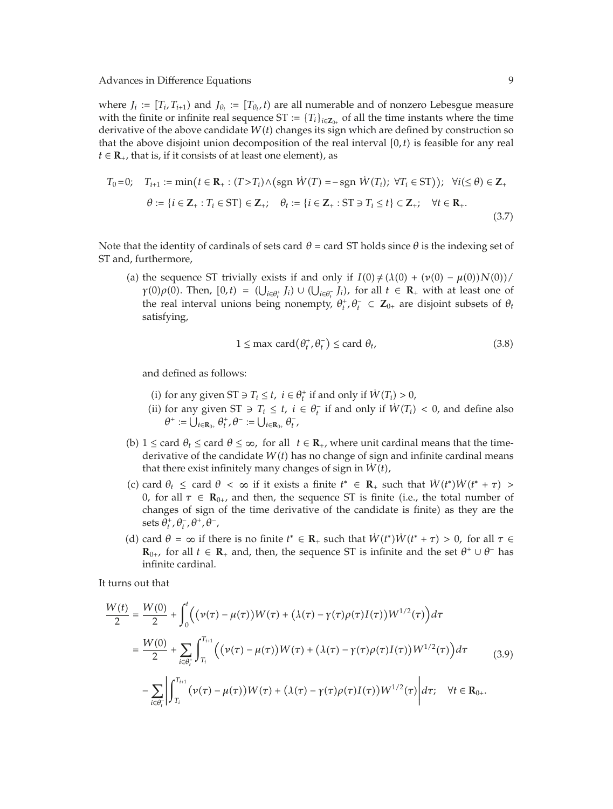where  $J_i := [T_i, T_{i+1})$  and  $J_{\theta_i} := [T_{\theta_i}, t)$  are all numerable and of nonzero Lebesgue measure with the finite or infinite real sequence ST :=  ${T_i}_{i \in \mathbb{Z}_{0+}}$  of all the time instants where the time derivative of the above candidate  $W(t)$  changes its sign which are defined by construction so that the above disjoint union decomposition of the real interval  $[0, t)$  is feasible for any real  $t \in \mathbb{R}_+$ , that is, if it consists of at least one element), as

$$
T_0 = 0; \quad T_{i+1} := \min\left(t \in \mathbf{R}_+ : (T > T_i) \land \text{(sgn } W(T) = -\text{sgn } W(T_i); \ \forall T_i \in ST\right)\right); \ \forall i (\leq \theta) \in \mathbf{Z}_+ \\
\theta := \{i \in \mathbf{Z}_+ : T_i \in ST\} \in \mathbf{Z}_+; \quad \theta_t := \{i \in \mathbf{Z}_+ : ST \ni T_i \leq t\} \subset \mathbf{Z}_+; \quad \forall t \in \mathbf{R}_+.\n\tag{3.7}
$$

Note that the identity of cardinals of sets card  $\theta$  = card ST holds since  $\theta$  is the indexing set of ST and, furthermore,

(a) the sequence ST trivially exists if and only if  $I(0) \neq (\lambda(0) + (\nu(0) - \mu(0))N(0))/$  $\gamma(0)\rho(0)$ . Then,  $[0,t) = (\bigcup_{i \in \theta_i^+} J_i) \cup (\bigcup_{i \in \theta_i^-} J_i)$ , for all  $t \in \mathbb{R}_+$  with at least one of the real interval unions being personate  $\theta^+ \theta^- \in \mathbb{Z}$  are disjoint subsets of  $\theta$ . the real interval unions being nonempty,  $\theta_t^+$ ,  $\theta_t^- \subset \mathbb{Z}_{0+}$  are disjoint subsets of  $\theta_t$ satisfying,

$$
1 \le \max \operatorname{card}(\theta_t^+, \theta_t^-) \le \operatorname{card} \theta_t,\tag{3.8}
$$

and defined as follows:

- (i) for any given ST ∋  $T_i \le t$ ,  $i \in \theta_t^+$  if and only if  $W(T_i) > 0$ ,
- (ii) for any given ST  $\ni$  *T<sub>i</sub>* ≤ *t, i* ∈  $\theta_t^-$  if and only if  $W(T_i) < 0$ , and define also  $\theta^+ := \bigcup_{t \in \mathbf{R}_{0+}} \theta_t^+, \theta^- := \bigcup_{t \in \mathbf{R}_{0+}} \theta_t^-,$
- (b)  $1 \leq$  card  $\theta_t \leq$  card  $\theta \leq \infty$ , for all  $t \in \mathbb{R}_+$ , where unit cardinal means that the timederivative of the candidate  $W(t)$  has no change of sign and infinite cardinal means that there exist infinitely many changes of sign in  $\dot{W}(t)$ ,
- (c) card  $\theta_t \leq$  card  $\theta < \infty$  if it exists a finite  $t^* \in \mathbb{R}_+$  such that  $W(t^*)W(t^* + \tau) > 0$  for all  $\tau \in \mathbb{R}_+$  and then the sequence  $ST$  is finite (i.e., the total number of 0*,* for all *τ* ∈ **, and then, the sequence ST is finite (i.e., the total number of** changes of sign of the time derivative of the candidate is finite) as they are the  $\operatorname{sets}\theta^+_t$ ,  $\theta^-_t$ ,  $\theta^+$ ,  $\theta^-$ ,
- (d) card  $\theta = \infty$  if there is no finite  $t^* \in \mathbb{R}_+$  such that  $W(t^*)W(t^* + \tau) > 0$ , for all  $\tau \in \mathbb{R}_+$  and then the sequence  $ST$  is infinite and the set  $\theta^* + \theta^-$  has  $\mathbf{R}_{0+}$ , for all  $t \in \mathbf{R}_+$  and, then, the sequence ST is infinite and the set  $\theta^+ \cup \theta^-$  has infinite cardinal.

It turns out that

$$
\frac{W(t)}{2} = \frac{W(0)}{2} + \int_0^t \Big( (\nu(\tau) - \mu(\tau))W(\tau) + (\lambda(\tau) - \gamma(\tau)\rho(\tau)I(\tau))W^{1/2}(\tau) \Big) d\tau \n= \frac{W(0)}{2} + \sum_{i \in \theta_t^+} \int_{T_i}^{T_{i+1}} \Big( (\nu(\tau) - \mu(\tau))W(\tau) + (\lambda(\tau) - \gamma(\tau)\rho(\tau)I(\tau))W^{1/2}(\tau) \Big) d\tau \n- \sum_{i \in \theta_t^+} \Big| \int_{T_i}^{T_{i+1}} (\nu(\tau) - \mu(\tau))W(\tau) + (\lambda(\tau) - \gamma(\tau)\rho(\tau)I(\tau))W^{1/2}(\tau) \Big| d\tau; \quad \forall t \in \mathbb{R}_{0+}.
$$
\n(3.9)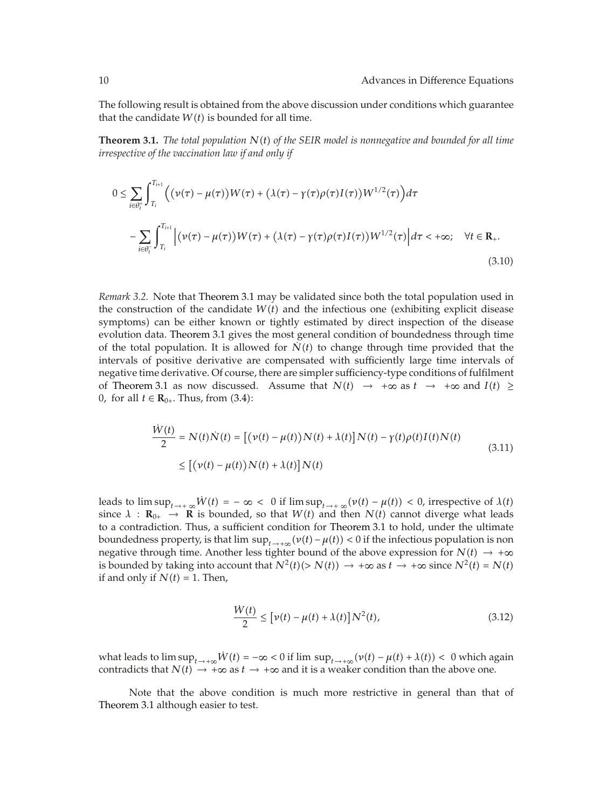The following result is obtained from the above discussion under conditions which guarantee that the candidate  $W(t)$  is bounded for all time.

**Theorem 3.1.** *The total population <sup>N</sup>t of the SEIR model is nonnegative and bounded for all time irrespective of the vaccination law if and only if*

$$
0 \leq \sum_{i \in \theta_i^+} \int_{T_i}^{T_{i+1}} \Big( \big( \nu(\tau) - \mu(\tau) \big) W(\tau) + \big( \lambda(\tau) - \gamma(\tau) \rho(\tau) I(\tau) \big) W^{1/2}(\tau) \Big) d\tau
$$
  
- 
$$
\sum_{i \in \theta_i^-} \int_{T_i}^{T_{i+1}} \Big| \big( \nu(\tau) - \mu(\tau) \big) W(\tau) + \big( \lambda(\tau) - \gamma(\tau) \rho(\tau) I(\tau) \big) W^{1/2}(\tau) \Big| d\tau < +\infty; \quad \forall t \in \mathbb{R}_+.
$$
  
(3.10)

*Remark 3.2.* Note that Theorem 3.1 may be validated since both the total population used in the construction of the candidate  $W(t)$  and the infectious one (exhibiting explicit disease symptoms) can be either known or tightly estimated by direct inspection of the disease evolution data. Theorem 3.1 gives the most general condition of boundedness through time of the total population. It is allowed for  $\dot{N}(t)$  to change through time provided that the intervals of positive derivative are compensated with sufficiently large time intervals of negative time derivative. Of course, there are simpler sufficiency-type conditions of fulfilment of Theorem 3.1 as now discussed. Assume that  $N(t) \rightarrow +\infty$  as  $t \rightarrow +\infty$  and  $I(t) \ge$ 0, for all  $t \in \mathbf{R}_{0+}$ . Thus, from (3.4):

$$
\frac{\dot{W}(t)}{2} = N(t)\dot{N}(t) = [(\nu(t) - \mu(t))N(t) + \lambda(t)]N(t) - \gamma(t)\rho(t)I(t)N(t)
$$
\n
$$
\leq [(\nu(t) - \mu(t))N(t) + \lambda(t)]N(t)
$$
\n(3.11)

leads to  $\limsup_{t\to+\infty} W(t) = -\infty < 0$  if  $\limsup_{t\to+\infty} (\nu(t) - \mu(t)) < 0$ , irrespective of  $\lambda(t)$ since  $\lambda$  :  $\mathbf{R}_{0+} \to \mathbf{R}$  is bounded, so that  $W(t)$  and then  $N(t)$  cannot diverge what leads to a contradiction. Thus, a sufficient condition for Theorem 3.1 to hold, under the ultimate boundedness property, is that  $\limsup_{t\to+\infty} (\nu(t) - \mu(t)) < 0$  if the infectious population is non negative through time. Another less tighter bound of the above expression for  $N(t) \rightarrow +\infty$ is bounded by taking into account that  $N^2(t)$  (>  $N(t)$ )  $\rightarrow +\infty$  as  $t \rightarrow +\infty$  since  $N^2(t) = N(t)$ if and only if  $N(t) = 1$ . Then,

$$
\frac{W(t)}{2} \leq \left[\nu(t) - \mu(t) + \lambda(t)\right]N^2(t),\tag{3.12}
$$

what leads to  $\limsup_{t\to+\infty} \dot{W}(t) = -\infty < 0$  if  $\limsup_{t\to+\infty} (v(t) - \mu(t) + \lambda(t)) < 0$  which again contradicts that  $N(t) \rightarrow +\infty$  as  $t \rightarrow +\infty$  and it is a weaker condition than the above one.

*W*˙ *t*

Note that the above condition is much more restrictive in general than that of Theorem 3.1 although easier to test.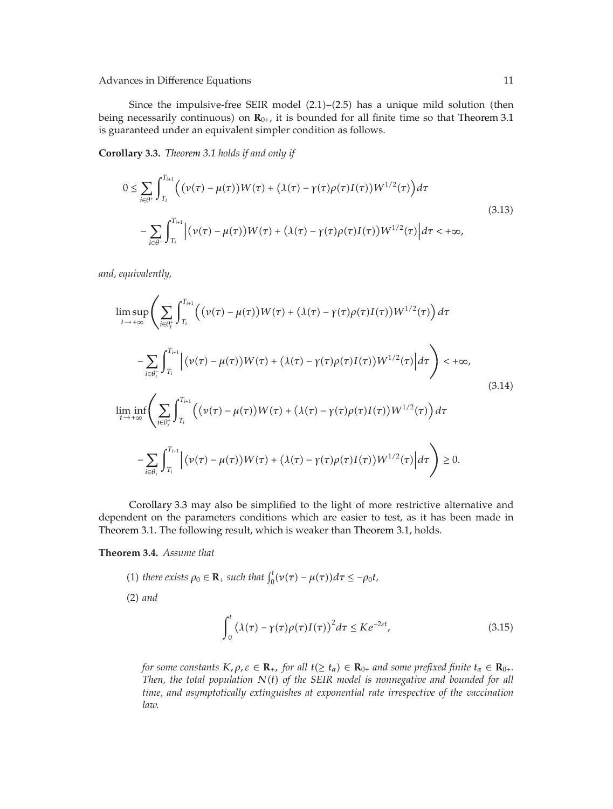Since the impulsive-free SEIR model  $(2.1)$ – $(2.5)$  has a unique mild solution (then being necessarily continuous) on  $\mathbf{R}_{0+}$ , it is bounded for all finite time so that Theorem 3.1 is guaranteed under an equivalent simpler condition as follows.

**Corollary 3.3.** *Theorem 3.1 holds if and only if*

$$
0 \leq \sum_{i \in \theta^+} \int_{T_i}^{T_{i+1}} \Big( \big( \nu(\tau) - \mu(\tau) \big) W(\tau) + \big( \lambda(\tau) - \gamma(\tau) \rho(\tau) I(\tau) \big) W^{1/2}(\tau) \Big) d\tau
$$
\n
$$
- \sum_{i \in \theta^-} \int_{T_i}^{T_{i+1}} \Big| \big( \nu(\tau) - \mu(\tau) \big) W(\tau) + \big( \lambda(\tau) - \gamma(\tau) \rho(\tau) I(\tau) \big) W^{1/2}(\tau) \Big| d\tau < +\infty,
$$
\n(3.13)

*and, equivalently,*

$$
\limsup_{t \to +\infty} \left( \sum_{i \in \theta_i^+} \int_{T_i}^{T_{i+1}} \left( (\nu(\tau) - \mu(\tau)) W(\tau) + (\lambda(\tau) - \gamma(\tau) \rho(\tau) I(\tau)) W^{1/2}(\tau) \right) d\tau \right. \\
\left. - \sum_{i \in \theta_i^-} \int_{T_i}^{T_{i+1}} \left| (\nu(\tau) - \mu(\tau)) W(\tau) + (\lambda(\tau) - \gamma(\tau) \rho(\tau) I(\tau)) W^{1/2}(\tau) \right| d\tau \right) < +\infty,
$$
\n(3.14)\n
$$
\liminf_{t \to +\infty} \left( \sum_{i \in \theta_i^+} \int_{T_i}^{T_{i+1}} \left( (\nu(\tau) - \mu(\tau)) W(\tau) + (\lambda(\tau) - \gamma(\tau) \rho(\tau) I(\tau)) W^{1/2}(\tau) \right) d\tau \right. \\
\left. - \sum_{i \in \theta_i^-} \int_{T_i}^{T_{i+1}} \left| (\nu(\tau) - \mu(\tau)) W(\tau) + (\lambda(\tau) - \gamma(\tau) \rho(\tau) I(\tau)) W^{1/2}(\tau) \right| d\tau \right) \ge 0.
$$

Corollary 3.3 may also be simplified to the light of more restrictive alternative and dependent on the parameters conditions which are easier to test, as it has been made in Theorem 3.1. The following result, which is weaker than Theorem 3.1, holds.

**Theorem 3.4.** *Assume that*

 $\mathbf{0}$ 

(1) there exists 
$$
\rho_0 \in \mathbb{R}_+
$$
 such that  $\int_0^t (\nu(\tau) - \mu(\tau)) d\tau \le -\rho_0 t$ ,  
\n(2) and\n
$$
\int_0^t (\lambda(\tau) - \gamma(\tau)\rho(\tau)I(\tau))^2 d\tau \le Ke^{-2\epsilon t},
$$
\n(3.15)

*for some constants*  $K, \rho, \varepsilon \in \mathbf{R}_+$ , *for all*  $t(\geq t_\alpha) \in \mathbf{R}_{0+}$  *and some prefixed finite*  $t_\alpha \in \mathbf{R}_{0+}$ . *Then, the total population Nt of the SEIR model is nonnegative and bounded for all time, and asymptotically extinguishes at exponential rate irrespective of the vaccination law.*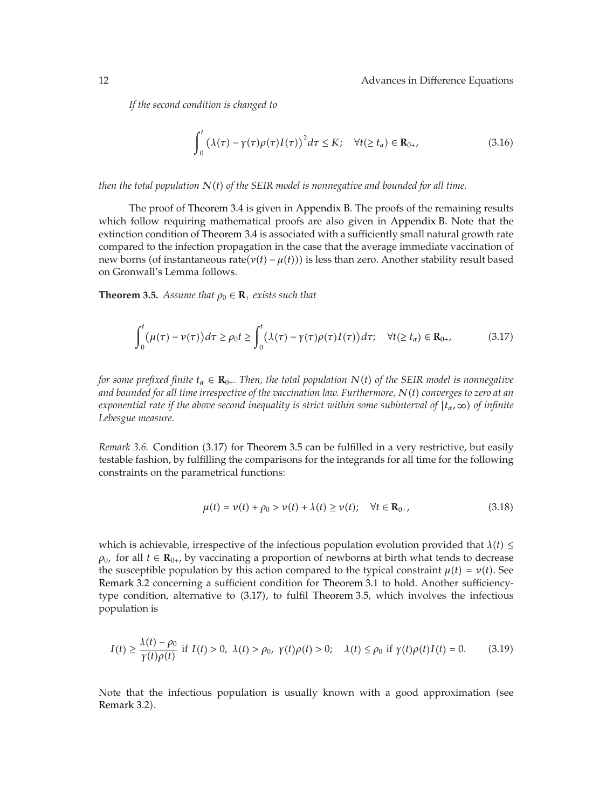*If the second condition is changed to*

$$
\int_0^t \left(\lambda(\tau) - \gamma(\tau)\rho(\tau)I(\tau)\right)^2 d\tau \le K; \quad \forall t (\ge t_\alpha) \in \mathbf{R}_{0+},\tag{3.16}
$$

*then the total population Nt of the SEIR model is nonnegative and bounded for all time.*

The proof of Theorem 3.4 is given in Appendix B. The proofs of the remaining results which follow requiring mathematical proofs are also given in Appendix B. Note that the extinction condition of Theorem 3.4 is associated with a sufficiently small natural growth rate compared to the infection propagation in the case that the average immediate vaccination of new borns (of instantaneous rate $(v(t) - \mu(t))$ ) is less than zero. Another stability result based on Gronwall's Lemma follows.

**Theorem 3.5.** *Assume that*  $\rho_0 \in \mathbb{R}_+$  *exists such that* 

$$
\int_0^t \left(\mu(\tau) - \nu(\tau)\right) d\tau \ge \rho_0 t \ge \int_0^t \left(\lambda(\tau) - \gamma(\tau)\rho(\tau)I(\tau)\right) d\tau; \quad \forall t (\ge t_\alpha) \in \mathbf{R}_{0+},\tag{3.17}
$$

*for some prefixed finite*  $t_{\alpha} \in \mathbf{R}_{0+}$ . Then, the total population  $N(t)$  *of the SEIR model is nonnegative and bounded for all time irrespective of the vaccination law. Furthermore, Nt converges to zero at an exponential rate if the above second inequality is strict within some subinterval of tα,* ∞ *of infinite Lebesgue measure.*

*Remark 3.6.* Condition (3.17) for Theorem 3.5 can be fulfilled in a very restrictive, but easily testable fashion, by fulfilling the comparisons for the integrands for all time for the following constraints on the parametrical functions:

$$
\mu(t) = \nu(t) + \rho_0 > \nu(t) + \lambda(t) \ge \nu(t); \quad \forall t \in \mathbf{R}_{0+}, \tag{3.18}
$$

which is achievable, irrespective of the infectious population evolution provided that  $\lambda(t) \leq$  $\rho_0$ , for all  $t \in \mathbf{R}_{0+}$ , by vaccinating a proportion of newborns at birth what tends to decrease the susceptible population by this action compared to the typical constraint  $\mu(t) = \nu(t)$ . See Remark 3.2 concerning a sufficient condition for Theorem 3.1 to hold. Another sufficiencytype condition, alternative to 3.17, to fulfil Theorem 3.5, which involves the infectious population is

$$
I(t) \ge \frac{\lambda(t) - \rho_0}{\gamma(t)\rho(t)}
$$
 if  $I(t) > 0$ ,  $\lambda(t) > \rho_0$ ,  $\gamma(t)\rho(t) > 0$ ;  $\lambda(t) \le \rho_0$  if  $\gamma(t)\rho(t)I(t) = 0$ . (3.19)

Note that the infectious population is usually known with a good approximation (see Remark 3.2).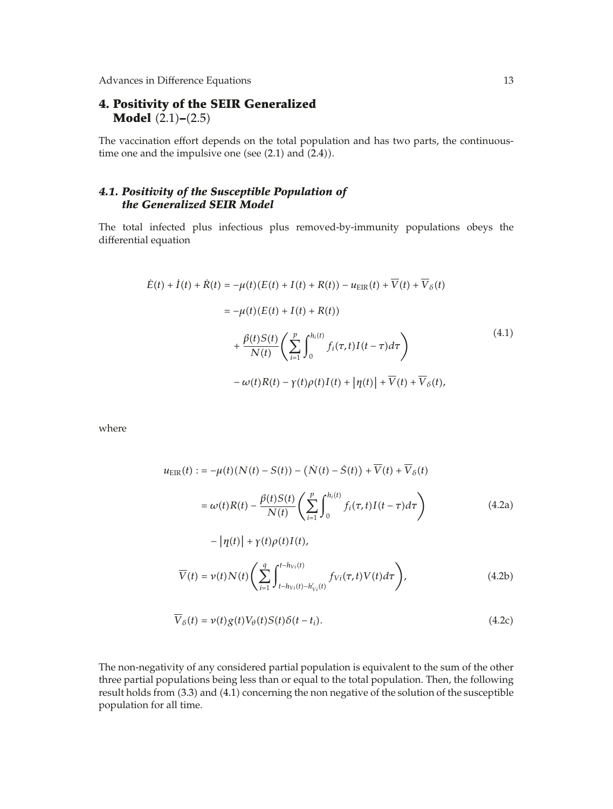### **4. Positivity of the SEIR Generalized Model**  $(2.1)$ – $(2.5)$

The vaccination effort depends on the total population and has two parts, the continuoustime one and the impulsive one (see  $(2.1)$  and  $(2.4)$ ).

### *4.1. Positivity of the Susceptible Population of the Generalized SEIR Model*

The total infected plus infectious plus removed-by-immunity populations obeys the differential equation

$$
\dot{E}(t) + \dot{I}(t) + \dot{R}(t) = -\mu(t)(E(t) + I(t) + R(t)) - u_{\text{EIR}}(t) + \overline{V}(t) + \overline{V}_{\delta}(t)
$$
\n
$$
= -\mu(t)(E(t) + I(t) + R(t))
$$
\n
$$
+ \frac{\beta(t)S(t)}{N(t)} \left( \sum_{i=1}^{p} \int_{0}^{h_{i}(t)} f_{i}(\tau, t)I(t - \tau)d\tau \right)
$$
\n
$$
- \omega(t)R(t) - \gamma(t)\rho(t)I(t) + |\eta(t)| + \overline{V}(t) + \overline{V}_{\delta}(t),
$$
\n(4.1)

where

$$
u_{\text{EIR}}(t) := -\mu(t)(N(t) - S(t)) - (N(t) - \dot{S}(t)) + \overline{V}(t) + \overline{V}_{\delta}(t)
$$
  
\n
$$
= \omega(t)R(t) - \frac{\beta(t)S(t)}{N(t)} \left(\sum_{i=1}^{p} \int_{0}^{h_i(t)} f_i(\tau, t)I(t - \tau)d\tau\right)
$$
(4.2a)  
\n
$$
- |\eta(t)| + \gamma(t)\rho(t)I(t),
$$
  
\n
$$
\overline{V}(t) = \nu(t)N(t) \left(\sum_{i=1}^{q} \int_{t-h_{Vi}(t)-h'_{Vi}(t)}^{t-h_{Vi}(t)} f_{Vi}(\tau, t)V(t)d\tau\right),
$$
(4.2b)

$$
\overline{V}_{\delta}(t) = \nu(t)g(t)V_{\theta}(t)S(t)\delta(t-t_i). \qquad (4.2c)
$$

The non-negativity of any considered partial population is equivalent to the sum of the other three partial populations being less than or equal to the total population. Then, the following result holds from 3.3 and 4.1 concerning the non negative of the solution of the susceptible population for all time.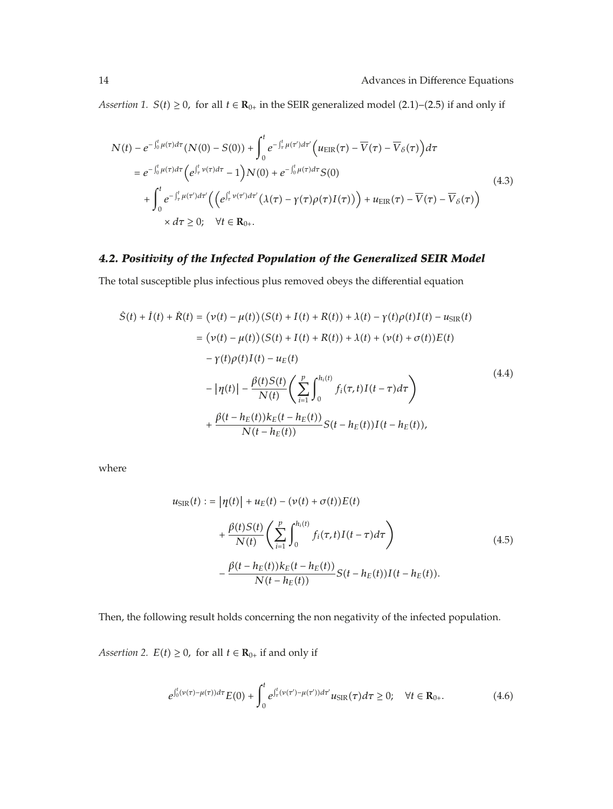*Assertion 1. S*(*t*) ≥ 0, for all *t* ∈ **R**<sub>0+</sub> in the SEIR generalized model (2.1)–(2.5) if and only if

$$
N(t) - e^{-\int_0^t \mu(\tau) d\tau} (N(0) - S(0)) + \int_0^t e^{-\int_\tau^t \mu(\tau') d\tau'} \Big( u_{\text{EIR}}(\tau) - \overline{V}(\tau) - \overline{V}_{\delta}(\tau) \Big) d\tau
$$
  
\n
$$
= e^{-\int_0^t \mu(\tau) d\tau} \Big( e^{\int_\tau^t \nu(\tau) d\tau} - 1 \Big) N(0) + e^{-\int_0^t \mu(\tau) d\tau} S(0)
$$
  
\n
$$
+ \int_0^t e^{-\int_\tau^t \mu(\tau') d\tau'} \Big( \Big( e^{\int_\tau^t \nu(\tau') d\tau'} \big( \lambda(\tau) - \gamma(\tau) \rho(\tau) I(\tau) \big) \Big) + u_{\text{EIR}}(\tau) - \overline{V}(\tau) - \overline{V}_{\delta}(\tau) \Big)
$$
  
\n
$$
\times d\tau \ge 0; \quad \forall t \in \mathbf{R}_{0+}.
$$
\n(4.3)

## *4.2. Positivity of the Infected Population of the Generalized SEIR Model*

The total susceptible plus infectious plus removed obeys the differential equation

$$
S(t) + I(t) + R(t) = (\nu(t) - \mu(t))(S(t) + I(t) + R(t)) + \lambda(t) - \gamma(t)\rho(t)I(t) - u_{SIR}(t)
$$
  
\n
$$
= (\nu(t) - \mu(t))(S(t) + I(t) + R(t)) + \lambda(t) + (\nu(t) + \sigma(t))E(t)
$$
  
\n
$$
- \gamma(t)\rho(t)I(t) - u_E(t)
$$
  
\n
$$
- |\eta(t)| - \frac{\beta(t)S(t)}{N(t)} \left( \sum_{i=1}^p \int_0^{h_i(t)} f_i(\tau, t)I(t - \tau)d\tau \right)
$$
  
\n
$$
+ \frac{\beta(t - h_E(t))k_E(t - h_E(t))}{N(t - h_E(t))} S(t - h_E(t))I(t - h_E(t)),
$$
\n(4.4)

where

$$
u_{\text{SIR}}(t) := |\eta(t)| + u_E(t) - (\nu(t) + \sigma(t))E(t)
$$
  
+ 
$$
\frac{\beta(t)S(t)}{N(t)} \left( \sum_{i=1}^p \int_0^{h_i(t)} f_i(\tau, t) I(t - \tau) d\tau \right)
$$
  
- 
$$
\frac{\beta(t - h_E(t))k_E(t - h_E(t))}{N(t - h_E(t))} S(t - h_E(t))I(t - h_E(t)).
$$
 (4.5)

Then, the following result holds concerning the non negativity of the infected population.

*Assertion 2.*  $E(t) \geq 0$ , for all  $t \in \mathbf{R}_{0+}$  if and only if

$$
e^{\int_0^t (\nu(\tau) - \mu(\tau))d\tau} E(0) + \int_0^t e^{\int_\tau^t (\nu(\tau') - \mu(\tau'))d\tau'} u_{\text{SIR}}(\tau) d\tau \ge 0; \quad \forall t \in \mathbf{R}_{0+}.
$$
 (4.6)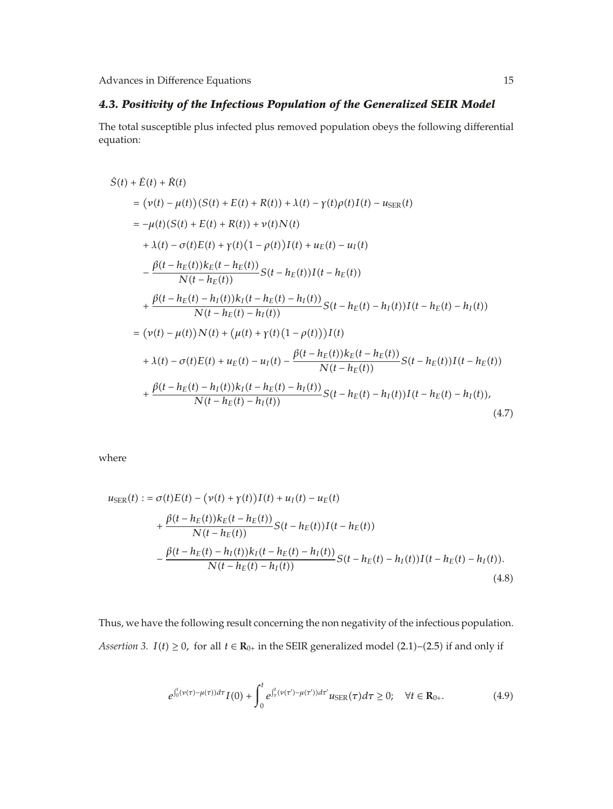# *4.3. Positivity of the Infectious Population of the Generalized SEIR Model*

The total susceptible plus infected plus removed population obeys the following differential equation:

$$
S(t) + \dot{E}(t) + \dot{R}(t)
$$
  
\n
$$
= (\nu(t) - \mu(t))(S(t) + E(t) + R(t)) + \lambda(t) - \gamma(t)\rho(t)I(t) - u_{\text{SER}}(t)
$$
  
\n
$$
= -\mu(t)(S(t) + E(t) + R(t)) + \nu(t)N(t)
$$
  
\n
$$
+ \lambda(t) - \sigma(t)E(t) + \gamma(t)(1 - \rho(t))I(t) + u_E(t) - u_I(t)
$$
  
\n
$$
- \frac{\beta(t - h_E(t))k_E(t - h_E(t))}{N(t - h_E(t))}S(t - h_E(t))I(t - h_E(t))
$$
  
\n
$$
+ \frac{\beta(t - h_E(t) - h_I(t))k_I(t - h_E(t) - h_I(t))}{N(t - h_E(t) - h_I(t))}S(t - h_E(t) - h_I(t))I(t - h_E(t) - h_I(t))
$$
  
\n
$$
= (\nu(t) - \mu(t))N(t) + (\mu(t) + \gamma(t)(1 - \rho(t)))I(t)
$$
  
\n
$$
+ \lambda(t) - \sigma(t)E(t) + u_E(t) - u_I(t) - \frac{\beta(t - h_E(t))k_E(t - h_E(t))}{N(t - h_E(t))}S(t - h_E(t))I(t - h_E(t))
$$
  
\n
$$
+ \frac{\beta(t - h_E(t) - h_I(t))k_I(t - h_E(t) - h_I(t))}{N(t - h_E(t) - h_I(t))}S(t - h_E(t) - h_I(t))I(t - h_E(t) - h_I(t)),
$$
  
\n(4.7)

where

$$
u_{\text{SER}}(t) := \sigma(t)E(t) - (\nu(t) + \gamma(t))I(t) + u_I(t) - u_E(t)
$$
  
+ 
$$
\frac{\beta(t - h_E(t))k_E(t - h_E(t))}{N(t - h_E(t))}S(t - h_E(t))I(t - h_E(t))
$$
  
- 
$$
\frac{\beta(t - h_E(t) - h_I(t))k_I(t - h_E(t) - h_I(t))}{N(t - h_E(t) - h_I(t))}S(t - h_E(t) - h_I(t))I(t - h_E(t) - h_I(t)).
$$
(4.8)

Thus, we have the following result concerning the non negativity of the infectious population. *Assertion 3. I*(*t*) ≥ 0, for all *t*  $\in$  **R**<sub>0+</sub> in the SEIR generalized model (2.1)–(2.5) if and only if

$$
e^{\int_0^t (\nu(\tau) - \mu(\tau))d\tau} I(0) + \int_0^t e^{\int_\tau^t (\nu(\tau') - \mu(\tau'))d\tau'} u_{\text{SER}}(\tau) d\tau \ge 0; \quad \forall t \in \mathbf{R}_{0+}.
$$
 (4.9)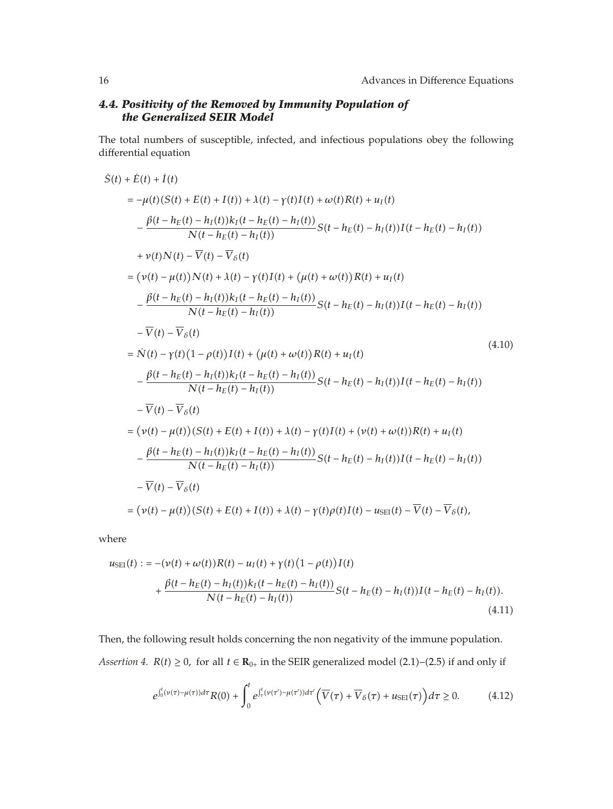# *4.4. Positivity of the Removed by Immunity Population of the Generalized SEIR Model*

The total numbers of susceptible, infected, and infectious populations obey the following differential equation

$$
S(t) + \dot{E}(t) + \dot{I}(t)
$$
  
\n
$$
= -\mu(t)(S(t) + E(t) + I(t)) + \lambda(t) - \gamma(t)I(t) + \omega(t)R(t) + u_I(t)
$$
  
\n
$$
- \frac{\beta(t - h_E(t) - h_I(t))k_I(t - h_E(t) - h_I(t))}{N(t - h_E(t) - h_I(t))}S(t - h_E(t) - h_I(t))I(t - h_E(t) - h_I(t))
$$
  
\n
$$
+ \nu(t)N(t) - \overline{V}(t) - \overline{V}_{\delta}(t)
$$
  
\n
$$
= (\nu(t) - \mu(t))N(t) + \lambda(t) - \gamma(t)I(t) + (\mu(t) + \omega(t))R(t) + u_I(t)
$$
  
\n
$$
- \frac{\beta(t - h_E(t) - h_I(t))k_I(t - h_E(t) - h_I(t))}{N(t - h_E(t) - h_I(t))}S(t - h_E(t) - h_I(t))I(t - h_E(t) - h_I(t))
$$
  
\n
$$
- \overline{V}(t) - \overline{V}_{\delta}(t)
$$
  
\n
$$
= \dot{N}(t) - \gamma(t)(1 - \rho(t))I(t) + (\mu(t) + \omega(t))R(t) + u_I(t)
$$
  
\n
$$
- \frac{\beta(t - h_E(t) - h_I(t))k_I(t - h_E(t) - h_I(t))}{N(t - h_E(t) - h_I(t))}S(t - h_E(t) - h_I(t))I(t - h_E(t) - h_I(t))
$$
  
\n
$$
- \overline{V}(t) - \overline{V}_{\delta}(t)
$$
  
\n
$$
= (\nu(t) - \mu(t))(S(t) + E(t) + I(t)) + \lambda(t) - \gamma(t)I(t) + (\nu(t) + \omega(t))R(t) + u_I(t)
$$
  
\n
$$
- \frac{\beta(t - h_E(t) - h_I(t))k_I(t - h_E(t) - h_I(t))}{N(t - h_E(t) - h_I(t))}S(t - h_E(t) - h_I(t))I(t - h_E(t) - h_I(t))
$$
  
\n
$$
- \overline{V}(t) - \overline{V}_{\delta}(t)
$$
  
\n
$$
= (\nu(t) - \mu(t))(S(t) + E(t) + I(t)) + \lambda(t) - \gamma(t)\rho(t)I(t) - u_{\text{SEI}}(t) - \overline{
$$

where

$$
u_{\text{SEI}}(t) := -(\nu(t) + \omega(t))R(t) - u_I(t) + \gamma(t)(1 - \rho(t))I(t) + \frac{\beta(t - h_E(t) - h_I(t))k_I(t - h_E(t) - h_I(t))}{N(t - h_E(t) - h_I(t))}S(t - h_E(t) - h_I(t))I(t - h_E(t) - h_I(t)).
$$
\n(4.11)

Then, the following result holds concerning the non negativity of the immune population. *Assertion 4.*  $R(t) \ge 0$ , for all  $t \in \mathbb{R}_{0+}$  in the SEIR generalized model (2.1)–(2.5) if and only if

$$
e^{\int_0^t (\nu(\tau)-\mu(\tau))d\tau} R(0) + \int_0^t e^{\int_\tau^t (\nu(\tau')-\mu(\tau'))d\tau'} \left(\overline{V}(\tau)+\overline{V}_\delta(\tau)+u_{\text{SEI}}(\tau)\right) d\tau \ge 0. \tag{4.12}
$$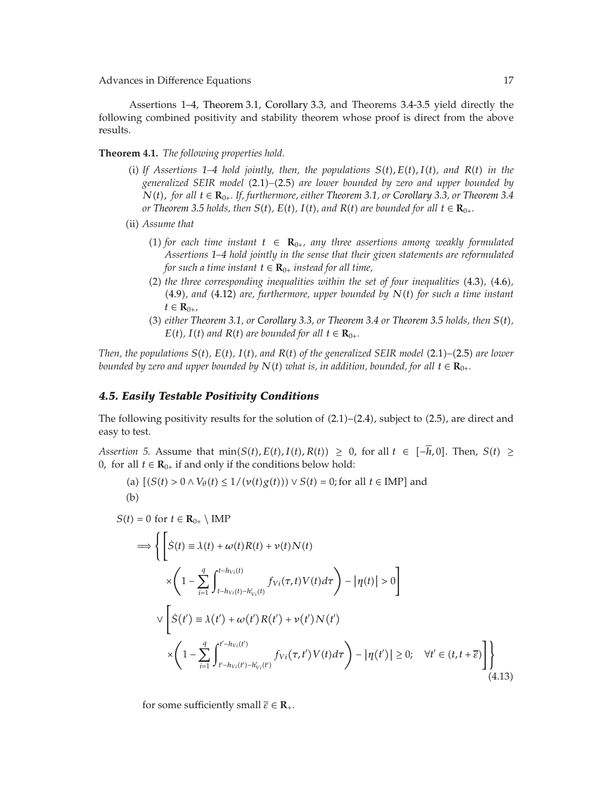Assertions 1–4, Theorem 3.1, Corollary 3.3, and Theorems 3.4-3.5 yield directly the following combined positivity and stability theorem whose proof is direct from the above results.

**Theorem 4.1.** *The following properties hold.*

- (i) If Assertions 1–4 hold jointly, then, the populations  $S(t)$ ,  $E(t)$ ,  $I(t)$ , and  $R(t)$  in the *generalized SEIR model* 2.1*–*2.5 *are lower bounded by zero and upper bounded by N*(*t*), for all *t* ∈  $\mathbf{R}_{0+}$ *. If, furthermore, either Theorem 3.1, or Corollary 3.3, or Theorem 3.4 or Theorem 3.5 holds, then*  $S(t)$ *,*  $E(t)$ *,*  $I(t)$ *, and*  $R(t)$  *are bounded for all*  $t \in \mathbf{R}_{0+}$ .
- (ii) *Assume that* 
	- (1) for each time instant  $t$  ∈  $R_{0+}$ , any three assertions among weakly formulated *Assertions 1–4 hold jointly in the sense that their given statements are reformulated for such a time instant*  $t \in \mathbf{R}_{0+}$  *instead for all time,*
	- 2 *the three corresponding inequalities within the set of four inequalities* 4.3*,* 4.6*,* 4.9*, and* 4.12 *are, furthermore, upper bounded by Nt for such a time instant*  $t \in \mathbf{R}_{0+}$
	- 3 *either Theorem 3.1, or Corollary 3.3, or Theorem 3.4 or Theorem 3.5 holds, then St, E*(*t*), *I*(*t*) and *R*(*t*) are bounded for all  $t \in \mathbf{R}_{0+}$ .

*Then, the populations St, Et, It, and Rt of the generalized SEIR model* 2.1*–*2.5 *are lower bounded by zero and upper bounded by*  $N(t)$  *what is, in addition, bounded, for all*  $t \in \mathbb{R}_{0+}$ *.* 

#### *4.5. Easily Testable Positivity Conditions*

The following positivity results for the solution of  $(2.1)$ – $(2.4)$ , subject to  $(2.5)$ , are direct and easy to test.

*Assertion 5.* Assume that  $\min(S(t), E(t), I(t), R(t)) \geq 0$ , for all  $t \in [-\overline{h}, 0]$ . Then,  $S(t) \geq 0$ 0*,* for all *t* ∈  $\mathbf{R}_{0+}$  if and only if the conditions below hold:

(a) 
$$
[(S(t) > 0 \land V_{\theta}(t) \leq \frac{1}{\psi(t)g(t)}) \lor S(t) = 0
$$
; for all  $t \in \text{IMP}$  and (b)

 $S(t) = 0$  for  $t \in \mathbf{R}_{0+} \setminus \text{IMP}$ 

$$
\Rightarrow \left\{ \left[ \dot{S}(t) \equiv \lambda(t) + \omega(t)R(t) + \nu(t)N(t) \right. \right.\times \left( 1 - \sum_{i=1}^{q} \int_{t-h_{Vi}(t)-h_{Vi}'(t)}^{t-h_{Vi}(t)} f_{Vi}(\tau, t)V(t) d\tau \right) - |\eta(t)| > 0 \right\}\vee \left[ \dot{S}(t') \equiv \lambda(t') + \omega(t')R(t') + \nu(t')N(t')\right.\times \left( 1 - \sum_{i=1}^{q} \int_{t'-h_{Vi}(t')-h_{Vi}'(t')}^{t'-h_{Vi}(t')} f_{Vi}(\tau, t')V(t) d\tau \right) - |\eta(t')| \ge 0; \quad \forall t' \in (t, t + \overline{\varepsilon}) \right] \right\}
$$
(4.13)

for some sufficiently small  $\overline{\varepsilon} \in \mathbb{R}_+$ .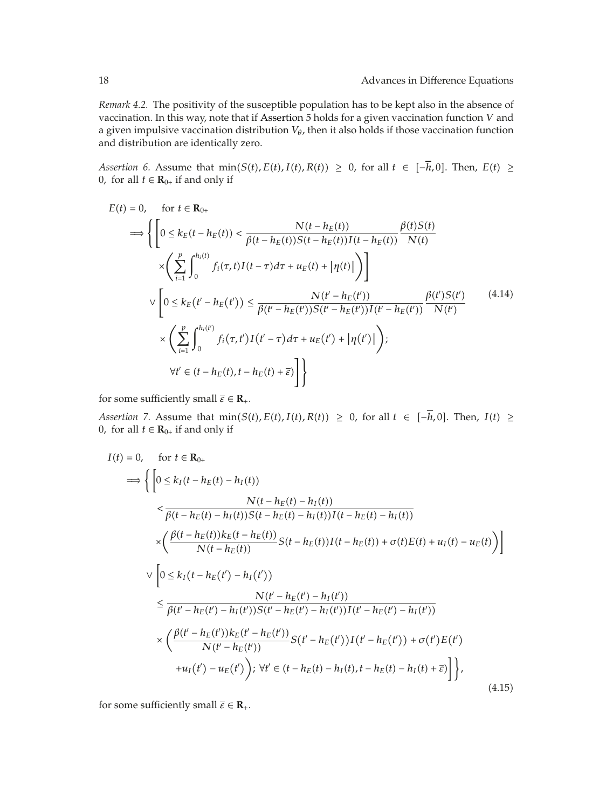*Remark 4.2.* The positivity of the susceptible population has to be kept also in the absence of vaccination. In this way, note that if Assertion 5 holds for a given vaccination function *V* and a given impulsive vaccination distribution *Vθ*, then it also holds if those vaccination function and distribution are identically zero.

*Assertion 6.* Assume that  $\min(S(t), E(t), I(t), R(t)) \ge 0$ , for all  $t \in [-\overline{h}, 0]$ . Then,  $E(t) \ge$ 0, for all  $t \in \mathbf{R}_{0+}$  if and only if

$$
E(t) = 0, \quad \text{for } t \in \mathbf{R}_{0+}
$$
\n
$$
\implies \left\{ \left[ 0 \le k_E(t - h_E(t)) < \frac{N(t - h_E(t))}{\beta(t - h_E(t))S(t - h_E(t))I(t - h_E(t))} \frac{\beta(t)S(t)}{N(t)} \right] \right\}
$$
\n
$$
\times \left( \sum_{i=1}^p \int_0^{h_i(t)} f_i(\tau, t)I(t - \tau) d\tau + u_E(t) + |\eta(t)| \right) \right\}
$$
\n
$$
\vee \left[ 0 \le k_E(t' - h_E(t')) \le \frac{N(t' - h_E(t'))}{\beta(t' - h_E(t'))S(t' - h_E(t'))I(t' - h_E(t'))} \frac{\beta(t')S(t')}{N(t')} \right] \times \left( \sum_{i=1}^p \int_0^{h_i(t')} f_i(\tau, t')I(t' - \tau) d\tau + u_E(t') + |\eta(t')| \right);
$$
\n
$$
\forall t' \in (t - h_E(t), t - h_E(t) + \overline{\epsilon}) \right] \}
$$
\n(4.14)

for some sufficiently small  $\overline{\varepsilon} \in \mathbb{R}_+$ .

*Assertion 7.* Assume that  $\min(S(t), E(t), I(t), R(t)) \ge 0$ , for all  $t \in [-\overline{h}, 0]$ . Then,  $I(t) \ge$ 0, for all  $t \in \mathbf{R}_{0+}$  if and only if

$$
I(t) = 0, \quad \text{for } t \in \mathbf{R}_{0+}
$$
\n
$$
\implies \left\{ \left[ 0 \le k_I(t - h_E(t) - h_I(t)) - \frac{N(t - h_E(t) - h_I(t))}{\beta(t - h_E(t) - h_I(t))S(t - h_E(t) - h_I(t))I(t - h_E(t) - h_I(t))} \right] \right\}
$$
\n
$$
\times \left( \frac{\beta(t - h_E(t))k_E(t - h_E(t))}{N(t - h_E(t))} S(t - h_E(t))I(t - h_E(t)) + \sigma(t)E(t) + u_I(t) - u_E(t)) \right\}
$$
\n
$$
\vee \left[ 0 \le k_I(t - h_E(t') - h_I(t')) - \frac{N(t' - h_E(t') - h_I(t'))}{N(t' - h_E(t') - h_I(t'))I(t' - h_E(t') - h_I(t'))} \right]
$$
\n
$$
\times \left( \frac{\beta(t' - h_E(t'))k_E(t' - h_E(t'))}{N(t' - h_E(t'))} S(t' - h_E(t'))I(t' - h_E(t')) + \sigma(t')E(t') + u_I(t') - u_E(t') \right), \forall t' \in (t - h_E(t) - h_I(t), t - h_E(t) - h_I(t) + \bar{\epsilon}) \right] \right\},
$$
\n(4.15)

for some sufficiently small  $\overline{\varepsilon} \in \mathbb{R}_+$ .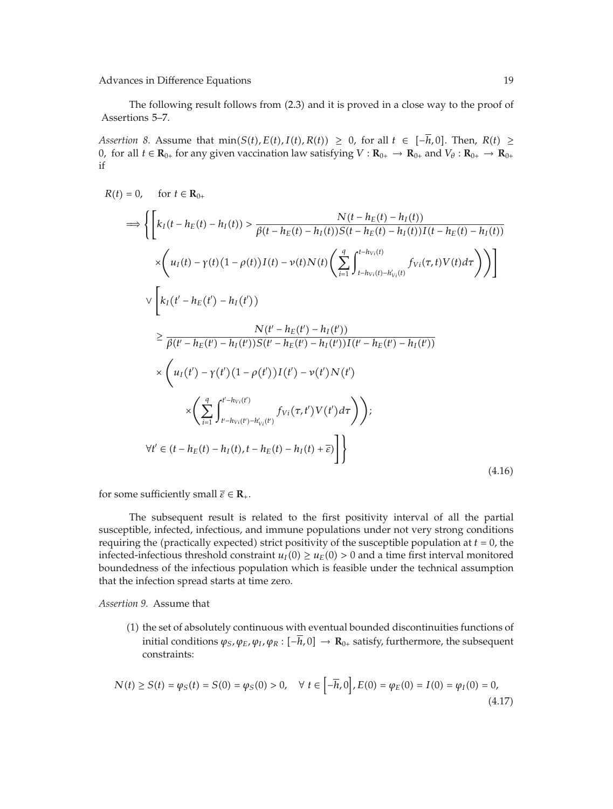The following result follows from  $(2.3)$  and it is proved in a close way to the proof of Assertions 5–7.

*Assertion 8.* Assume that  $\min(S(t), E(t), I(t), R(t)) \ge 0$ , for all  $t \in [-\overline{h}, 0]$ . Then,  $R(t) \ge$ 0, for all  $t \in \mathbf{R}_{0+}$  for any given vaccination law satisfying  $V : \mathbf{R}_{0+} \to \mathbf{R}_{0+}$  and  $V_{\theta} : \mathbf{R}_{0+} \to \mathbf{R}_{0+}$ if

$$
R(t) = 0, \quad \text{for } t \in \mathbf{R}_{0+}
$$
\n
$$
\implies \left\{ \left[ k_{I}(t - h_{E}(t) - h_{I}(t)) > \frac{N(t - h_{E}(t) - h_{I}(t))}{\beta(t - h_{E}(t) - h_{I}(t))S(t - h_{E}(t) - h_{I}(t))I(t - h_{E}(t) - h_{I}(t))} \right] \times \left( u_{I}(t) - \gamma(t)(1 - \rho(t))I(t) - \gamma(t)N(t) \left( \sum_{i=1}^{d} \int_{t - h_{V_{i}}(t)}^{t - h_{V_{i}}(t)} f_{V_{i}}(\tau, t)V(t) d\tau \right) \right) \right]
$$
\n
$$
\vee \left[ k_{I}(t' - h_{E}(t') - h_{I}(t')) \right\}
$$
\n
$$
\geq \frac{N(t' - h_{E}(t') - h_{I}(t'))}{\beta(t' - h_{E}(t') - h_{I}(t'))S(t' - h_{E}(t') - h_{I}(t'))I(t' - h_{E}(t') - h_{I}(t'))}
$$
\n
$$
\times \left( u_{I}(t') - \gamma(t')(1 - \rho(t'))I(t') - \gamma(t')N(t') \right)
$$
\n
$$
\times \left( \sum_{i=1}^{d} \int_{t' - h_{V_{i}}(t') - h'_{V_{i}}(t)}^{t' - h_{V_{i}}(t)} f_{V_{i}}(\tau, t')V(t') d\tau \right) \right);
$$
\n
$$
\forall t' \in (t - h_{E}(t) - h_{I}(t), t - h_{E}(t) - h_{I}(t) + \overline{\epsilon}) \right] \right\}
$$
\n(4.16)

for some sufficiently small  $\overline{\varepsilon} \in \mathbb{R}_+$ .

The subsequent result is related to the first positivity interval of all the partial susceptible, infected, infectious, and immune populations under not very strong conditions requiring the (practically expected) strict positivity of the susceptible population at  $t = 0$ , the infected-infectious threshold constraint  $u_I(0) \ge u_E(0) > 0$  and a time first interval monitored boundedness of the infectious population which is feasible under the technical assumption that the infection spread starts at time zero.

*Assertion 9.* Assume that

1 the set of absolutely continuous with eventual bounded discontinuities functions of initial conditions  $\varphi_S$ ,  $\varphi_E$ ,  $\varphi_I$ ,  $\varphi_R$  :  $[-\bar{h}, 0] \to \mathbf{R}_{0+}$  satisfy, furthermore, the subsequent constraints:

$$
N(t) \ge S(t) = \varphi_S(t) = S(0) = \varphi_S(0) > 0, \quad \forall \ t \in \left[ -\overline{h}, 0 \right], E(0) = \varphi_E(0) = I(0) = \varphi_I(0) = 0,\tag{4.17}
$$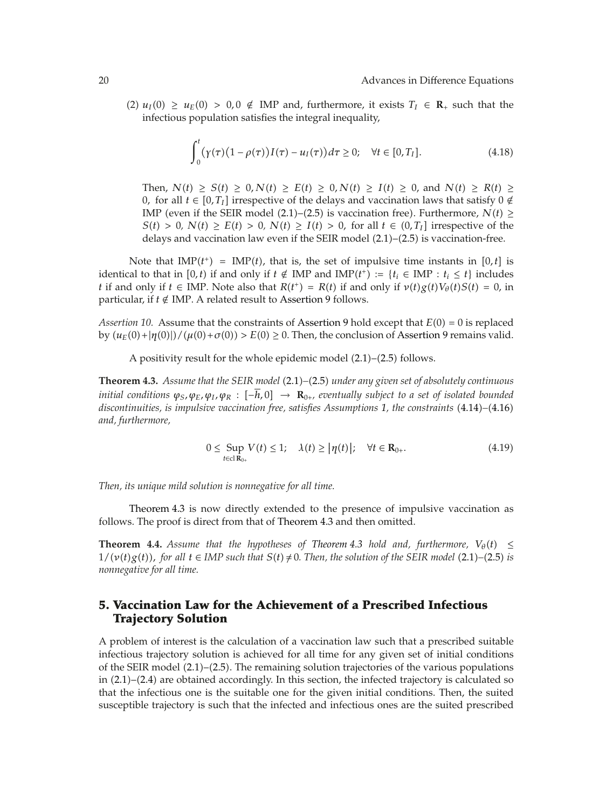(2)  $u_I(0) \ge u_E(0) > 0, 0 \notin \text{IMP and, furthermore, it exists } T_I \in \mathbb{R}_+ \text{ such that the }$ infectious population satisfies the integral inequality,

$$
\int_0^t (\gamma(\tau)(1-\rho(\tau))I(\tau)-u_I(\tau))d\tau \ge 0; \quad \forall t \in [0,T_I].
$$
\n(4.18)

Then,  $N(t) \ge S(t) \ge 0$ ,  $N(t) \ge E(t) \ge 0$ ,  $N(t) \ge I(t) \ge 0$ , and  $N(t) \ge R(t) \ge 0$ 0, for all *t* ∈ [0,  $T_I$ ] irrespective of the delays and vaccination laws that satisfy 0 ∉ IMP (even if the SEIR model  $(2.1)$ – $(2.5)$  is vaccination free). Furthermore,  $N(t) \geq$  $S(t) > 0$ ,  $N(t) \ge E(t) > 0$ ,  $N(t) \ge I(t) > 0$ , for all  $t \in (0, T_I]$  irrespective of the delays and vaccination law even if the SEIR model  $(2.1)$ – $(2.5)$  is vaccination-free.

Note that  $IMP(t<sup>+</sup>) = IMP(t)$ , that is, the set of impulsive time instants in [0,*t*] is identical to that in  $[0, t)$  if and only if  $t \notin \text{IMP}$  and  $\text{IMP}(t^+) := \{t_i \in \text{IMP} : t_i \leq t\}$  includes *t* if and only if  $t \in \text{IMP}$ . Note also that  $R(t^+) = R(t)$  if and only if  $v(t)g(t)V_\theta(t)S(t) = 0$ , in particular, if  $t \notin$  IMP. A related result to Assertion 9 follows.

*Assertion 10.* Assume that the constraints of Assertion 9 hold except that  $E(0) = 0$  is replaced by  $(u_E(0) + |\eta(0)|)/(\mu(0) + \sigma(0)) > E(0) \ge 0$ . Then, the conclusion of Assertion 9 remains valid.

A positivity result for the whole epidemic model  $(2.1)$ – $(2.5)$  follows.

Theorem 4.3. *Assume that the SEIR model* (2.1)–(2.5) under any given set of absolutely continuous *initial conditions*  $\varphi_S$ ,  $\varphi_E$ ,  $\varphi_I$ ,  $\varphi_R$  :  $[-\overline{h}, 0] \rightarrow \mathbf{R}_{0+}$ , eventually subject to a set of isolated bounded *discontinuities, is impulsive vaccination free, satisfies Assumptions 1, the constraints* 4.14*–*4.16 *and, furthermore,*

$$
0 \leq \sup_{t \in \text{cl } \mathbf{R}_{0+}} V(t) \leq 1; \quad \lambda(t) \geq |\eta(t)|; \quad \forall t \in \mathbf{R}_{0+}.
$$
 (4.19)

*Then, its unique mild solution is nonnegative for all time.*

Theorem 4.3 is now directly extended to the presence of impulsive vaccination as follows. The proof is direct from that of Theorem 4.3 and then omitted.

**Theorem 4.4.** *Assume that the hypotheses of Theorem 4.3 hold and, furthermore,*  $V_{\theta}(t) \leq$  $1/(\nu(t)g(t))$ , for all  $t \in \text{IMP}$  such that  $S(t) \neq 0$ . Then, the solution of the SEIR model (2.1)–(2.5) is *nonnegative for all time.*

### **5. Vaccination Law for the Achievement of a Prescribed Infectious Trajectory Solution**

A problem of interest is the calculation of a vaccination law such that a prescribed suitable infectious trajectory solution is achieved for all time for any given set of initial conditions of the SEIR model  $(2.1)$ – $(2.5)$ . The remaining solution trajectories of the various populations in  $(2.1)$ – $(2.4)$  are obtained accordingly. In this section, the infected trajectory is calculated so that the infectious one is the suitable one for the given initial conditions. Then, the suited susceptible trajectory is such that the infected and infectious ones are the suited prescribed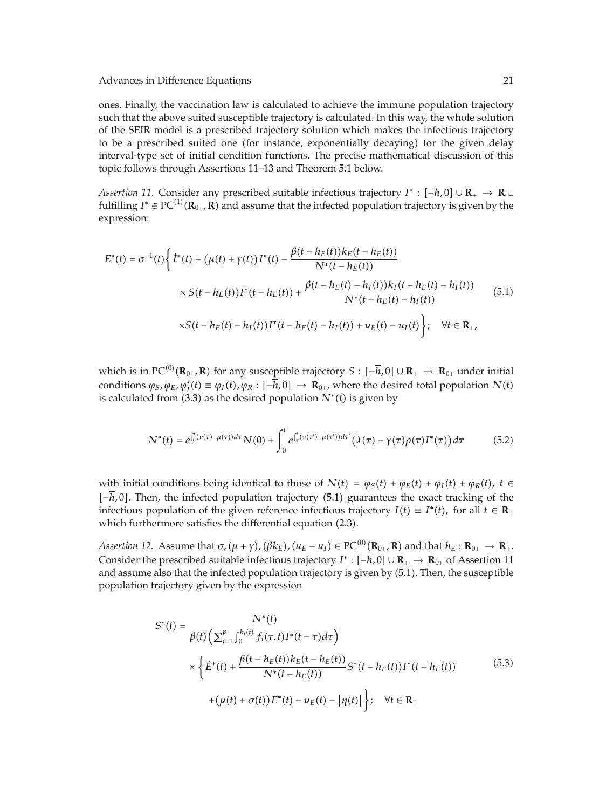ones. Finally, the vaccination law is calculated to achieve the immune population trajectory such that the above suited susceptible trajectory is calculated. In this way, the whole solution of the SEIR model is a prescribed trajectory solution which makes the infectious trajectory to be a prescribed suited one (for instance, exponentially decaying) for the given delay interval-type set of initial condition functions. The precise mathematical discussion of this topic follows through Assertions 11–13 and Theorem 5.1 below.

*Assertion 11.* Consider any prescribed suitable infectious trajectory  $I^*$  :  $[-h, 0] \cup \mathbb{R}_+ \to \mathbb{R}_{0+}$ fulfilling *I*<sup>∗</sup> ∈ PC<sup>(1)</sup>( $\mathbf{R}_{0+}$ ,  $\mathbf{R}$ ) and assume that the infected population trajectory is given by the expression: expression:

$$
E^*(t) = \sigma^{-1}(t) \left\{ I^*(t) + (\mu(t) + \gamma(t))I^*(t) - \frac{\beta(t - h_E(t))k_E(t - h_E(t))}{N^*(t - h_E(t))} \times S(t - h_E(t))I^*(t - h_E(t)) + \frac{\beta(t - h_E(t) - h_I(t))k_I(t - h_E(t) - h_I(t))}{N^*(t - h_E(t) - h_I(t))} \right\}
$$
(5.1)  
× $S(t - h_E(t) - h_I(t))I^*(t - h_E(t) - h_I(t)) + u_E(t) - u_I(t) \left.\right\}; \quad \forall t \in \mathbb{R}_+$ ,

which is in  $PC^{(0)}(\mathbf{R}_{0+}, \mathbf{R})$  for any susceptible trajectory  $S : [-\overline{h}, 0] \cup \mathbf{R}_{+} \to \mathbf{R}_{0+}$  under initial association  $M(h) = \mu(h)$  is  $\overline{h}, 0] \to \mathbf{R}_{-}$  where the desired tatal association  $M(h)$ conditions  $\varphi_S$ ,  $\varphi_E$ ,  $\varphi_I^*(t) \equiv \varphi_I(t)$ ,  $\varphi_R : [-h, 0] \to \mathbb{R}_{0+}$ , where the desired total population  $N(t)$ <br>is calculated from (3.3) as the desired population  $N^*(t)$  is given by is calculated from  $(3.3)$  as the desired population  $N^*(t)$  is given by

$$
N^{*}(t) = e^{\int_{0}^{t} (\nu(\tau) - \mu(\tau))d\tau} N(0) + \int_{0}^{t} e^{\int_{\tau}^{t} (\nu(\tau') - \mu(\tau'))d\tau'} (\lambda(\tau) - \gamma(\tau)\rho(\tau)I^{*}(\tau))d\tau
$$
(5.2)

with initial conditions being identical to those of  $N(t) = \varphi_S(t) + \varphi_E(t) + \varphi_I(t) + \varphi_R(t)$ ,  $t \in$  $[-h, 0]$ . Then, the infected population trajectory (5.1) guarantees the exact tracking of the infectious population of the given reference infectious trajectory  $I(t) \equiv I^*(t)$ , for all  $t \in \mathbb{R}_+$ which furthermore satisfies the differential equation  $(2.3)$ .

*Assertion 12.* Assume that  $\sigma$ ,  $(\mu + \gamma)$ ,  $(\beta k_E)$ ,  $(u_E - u_I) \in \text{PC}^{(0)}(\mathbb{R}_{0+}, \mathbb{R})$  and that  $h_E : \mathbb{R}_{0+} \to \mathbb{R}_+$ . Consider the prescribed suitable infectious trajectory  $I^*$  :  $[-\overline{h}, 0] \cup \mathbb{R}_+ \to \mathbb{R}_{0+}$  of Assertion 11 and assume also that the infected population trajectory is given by (5.1). Then, the susceptible population trajectory given by the expression

$$
S^*(t) = \frac{N^*(t)}{\beta(t)\left(\sum_{i=1}^p \int_0^{h_i(t)} f_i(\tau, t) I^*(t-\tau) d\tau\right)} \times \left\{\dot{E}^*(t) + \frac{\beta(t-h_E(t))k_E(t-h_E(t))}{N^*(t-h_E(t))} S^*(t-h_E(t)) I^*(t-h_E(t)) + (\mu(t) + \sigma(t)) E^*(t) - u_E(t) - |\eta(t)|\right\}; \quad \forall t \in \mathbf{R}_+
$$
\n(5.3)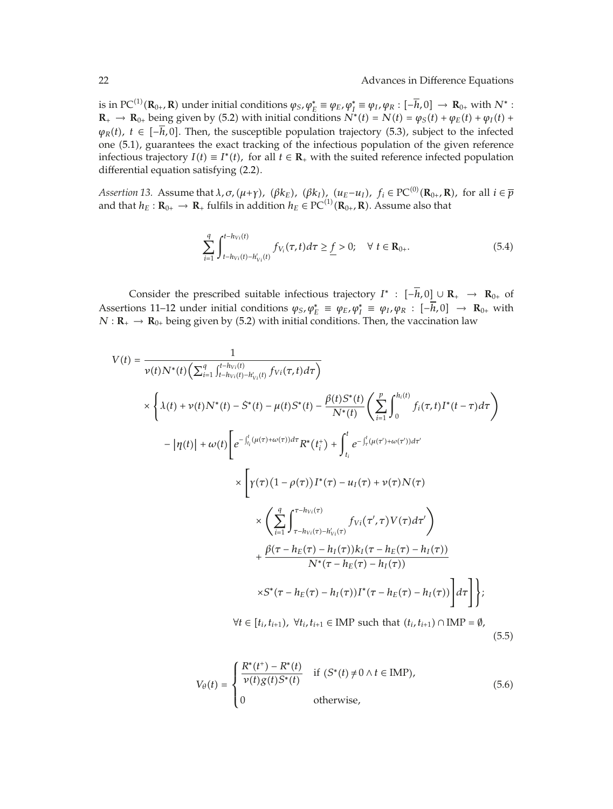is in PC<sup>(1)</sup>( $\mathbf{R}_{0+}$ ,  $\mathbf{R}$ ) under initial conditions  $\varphi_S$ ,  $\varphi_L^* \equiv \varphi_E$ ,  $\varphi_I^* \equiv \varphi_I$ ,  $\varphi_R$ :  $[-\overline{h}, 0] \rightarrow \mathbf{R}_{0+}$  with  $N^*$ :<br> $\mathbf{R} \rightarrow \mathbf{R}_{0+}$  being given by (5.2) with initial conditions  $N^*(t) = N(t)$  $\mathbf{R}_{+} \to \mathbf{R}_{0+}$  being given by (5.2) with initial conditions  $N^*(t) = N(t) = \varphi_S(t) + \varphi_E(t) + \varphi_I(t) + \varphi_I(t)$  $\varphi_R(t)$ ,  $t \in [-\overline{h}, 0]$ . Then, the susceptible population trajectory (5.3), subject to the infected one 5.1, guarantees the exact tracking of the infectious population of the given reference infectious trajectory  $I(t) \equiv I^*(t)$ , for all  $t \in \mathbb{R}_+$  with the suited reference infected population differential equation satisfying (2.2).

*Assertion 13.* Assume that  $\lambda$ ,  $\sigma$ ,  $(\mu+\gamma)$ ,  $(\beta k_E)$ ,  $(\beta k_I)$ ,  $(u_E-u_I)$ ,  $f_i \in PC^{(0)}(\mathbb{R}_0, \mathbb{R})$ , for all  $i \in \overline{p}$ <br>and that  $h_E : \mathbb{R}_2 \to \mathbb{R}$ , fulfile in addition  $h_E \in PC^{(1)}(\mathbb{R}_2, \mathbb{R})$ . Assume also that and that  $h_E: \mathbf{R}_{0+} \to \mathbf{R}_+$  fulfils in addition  $h_E \in \mathrm{PC}^{(1)}(\mathbf{R}_{0+}, \mathbf{R})$ . Assume also that

$$
\sum_{i=1}^{q} \int_{t-h_{Vi}(t)-h'_{Vi}(t)}^{t-h_{Vi}(t)} f_{V_i}(\tau, t) d\tau \geq \underline{f} > 0; \quad \forall \ t \in \mathbf{R}_{0+}.
$$
 (5.4)

Consider the prescribed suitable infectious trajectory  $I^*$  :  $[-\overline{h}, 0] \cup \mathbb{R}_+ \rightarrow \mathbb{R}_{0+}$  of Assertions 11–12 under initial conditions  $\varphi_S, \varphi_E^* \equiv \varphi_E, \varphi_I^* \equiv \varphi_I, \varphi_R : [-h, 0] \rightarrow \mathbb{R}_{0+}$  with  $N \cdot \mathbb{R} \rightarrow \mathbb{R}_{0+}$  being given by (5.2) with initial conditions. Then the vaccination law  $N: \mathbf{R}_{+} \to \mathbf{R}_{0+}$  being given by (5.2) with initial conditions. Then, the vaccination law

$$
V(t) = \frac{1}{\nu(t)N^*(t)\left(\sum_{i=1}^q \int_{t-h_{Vi}(t)}^{t-h_{Vi}(t)} f_{Vi}(\tau, t) d\tau\right)}
$$
  
\n
$$
\times \left\{\lambda(t) + \nu(t)N^*(t) - \dot{S}^*(t) - \mu(t)S^*(t) - \frac{\beta(t)S^*(t)}{N^*(t)} \left(\sum_{i=1}^p \int_0^{h_i(t)} f_i(\tau, t)I^*(t-\tau) d\tau\right) - |\eta(t)| + \omega(t) \left[e^{-\int_{t_i}^t (\mu(\tau) + \omega(\tau)) d\tau} R^*(t_i^+) + \int_{t_i}^t e^{-\int_{\tau}^t (\mu(\tau') + \omega(\tau')) d\tau'}\right] \times \left[\gamma(\tau)(1-\rho(\tau))I^*(\tau) - u_I(\tau) + \nu(\tau)N(\tau)\right] \times \left(\sum_{i=1}^q \int_{\tau-h_{Vi}(\tau)}^{\tau-h_{Vi}(\tau)} f_{Vi}(\tau',\tau) V(\tau) d\tau'\right) + \frac{\beta(\tau-h_E(\tau)-h_I(\tau))k_I(\tau-h_E(\tau)-h_I(\tau))}{N^*(\tau-h_E(\tau)-h_I(\tau))} \times S^*(\tau-h_E(\tau)-h_I(\tau))I^*(\tau-h_E(\tau)-h_I(\tau))\right] d\tau\right]\};
$$
  
\n
$$
\forall t \in [t_i, t_{i+1}), \forall t_i, t_{i+1} \in \text{IMP such that } (t_i, t_{i+1}) \cap \text{IMP} = \emptyset,
$$
\n(5.5)

$$
V_{\theta}(t) = \begin{cases} \frac{R^*(t^+) - R^*(t)}{\nu(t)g(t)S^*(t)} & \text{if } (S^*(t) \neq 0 \land t \in \text{IMP}),\\ 0 & \text{otherwise}, \end{cases}
$$
(5.6)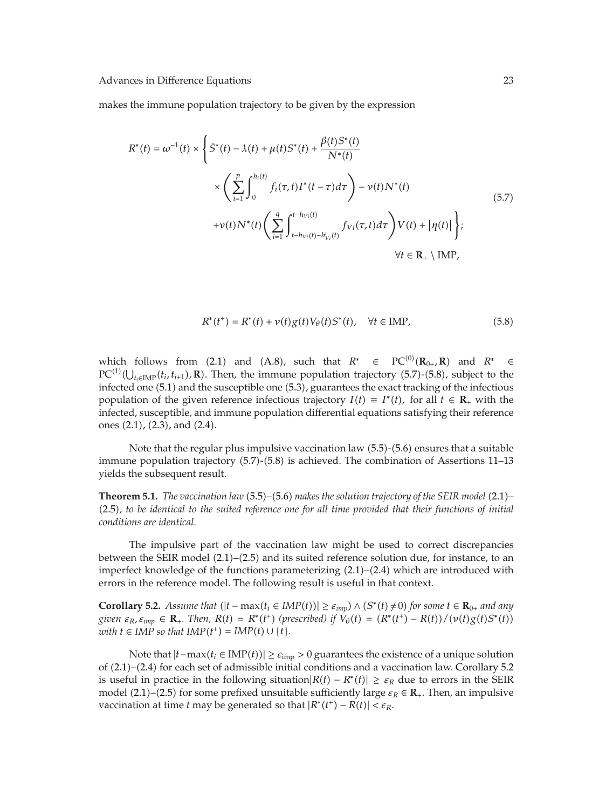makes the immune population trajectory to be given by the expression

$$
R^{*}(t) = \omega^{-1}(t) \times \left\{ S^{*}(t) - \lambda(t) + \mu(t)S^{*}(t) + \frac{\beta(t)S^{*}(t)}{N^{*}(t)} \times \left( \sum_{i=1}^{p} \int_{0}^{h_{i}(t)} f_{i}(\tau, t)I^{*}(t - \tau) d\tau \right) - \nu(t)N^{*}(t) + \nu(t)N^{*}(t) \left( \sum_{i=1}^{q} \int_{t - h_{Vi}(t) - h'_{Vi}(t)}^{t - h_{Vi}(t)} f_{Vi}(\tau, t) d\tau \right) V(t) + |\eta(t)| \right\};
$$
\n
$$
\forall t \in \mathbf{R}_{+} \setminus \text{IMP},
$$
\n(5.7)

$$
R^*(t^+) = R^*(t) + \nu(t)g(t)V_{\theta}(t)S^*(t), \quad \forall t \in \text{IMP},
$$
\n(5.8)

which follows from (2.1) and (A.8), such that  $R^* \in PC^{(0)}(\mathbb{R}_{0+}, \mathbb{R})$  and  $R^* \in PC^{(1)}(1)$  (t, t, a) **R**). Then the immune population trajectory (5.7), (5.8) subject to the  $PC^{(1)}(U_{t_i\in\text{IMP}}(t_i, t_{i+1}), \mathbf{R})$ . Then, the immune population trajectory (5.7)-(5.8), subject to the infection of the infections infected one (5.1) and the susceptible one (5.3), guarantees the exact tracking of the infectious population of the given reference infectious trajectory  $I(t) \equiv I^*(t)$ , for all  $t \in \mathbb{R}_+$  with the infected, susceptible, and immune population differential equations satisfying their reference ones  $(2.1)$ ,  $(2.3)$ , and  $(2.4)$ .

Note that the regular plus impulsive vaccination law  $(5.5)-(5.6)$  ensures that a suitable immune population trajectory  $(5.7)$ - $(5.8)$  is achieved. The combination of Assertions 11–13 yields the subsequent result.

**Theorem 5.1.** *The vaccination law* (5.5)–(5.6) *makes the solution trajectory of the SEIR model* (2.1)– 2.5*, to be identical to the suited reference one for all time provided that their functions of initial conditions are identical.*

The impulsive part of the vaccination law might be used to correct discrepancies between the SEIR model  $(2.1)$ – $(2.5)$  and its suited reference solution due, for instance, to an imperfect knowledge of the functions parameterizing  $(2.1)$ – $(2.4)$  which are introduced with errors in the reference model. The following result is useful in that context.

**Corollary 5.2.** *Assume that*  $(|t - \max(t_i \in \text{IMP}(t))| \ge \varepsilon_{imp}) \land (S^*(t) \neq 0)$  for some  $t \in \mathbb{R}_{0+}$  and any given  $\varepsilon_R$ ,  $\varepsilon_{imp} \in \mathbb{R}_+$ . Then,  $R(t) = R^*(t^+)$  (prescribed) if  $V_{\theta}(t) = (R^*(t^+) - R(t)) / (\nu(t)g(t)S^*(t))$ <br>with  $t \in IMR$  so that  $IMP(t^+) - IMP(t) + (H)$  $with t \in IMP$  *so that*  $IMP(t^+) = IMP(t) \cup \{t\}.$ 

Note that  $|t - \max(t_i \in \text{IMP}(t))|$  ≥  $\varepsilon_{\text{imp}} > 0$  guarantees the existence of a unique solution of 2.1–2.4 for each set of admissible initial conditions and a vaccination law. Corollary 5.2 is useful in practice in the following situation $|R(t) - R^*(t)| \ge \varepsilon_R$  due to errors in the SEIR model (2.1)–(2.5) for some prefixed unsuitable sufficiently large  $\varepsilon_R \in \mathbf{R}_+$ . Then, an impulsive vaccination at time *t* may be generated so that  $|R^*(t^+) - R(t)| < \varepsilon_R$ .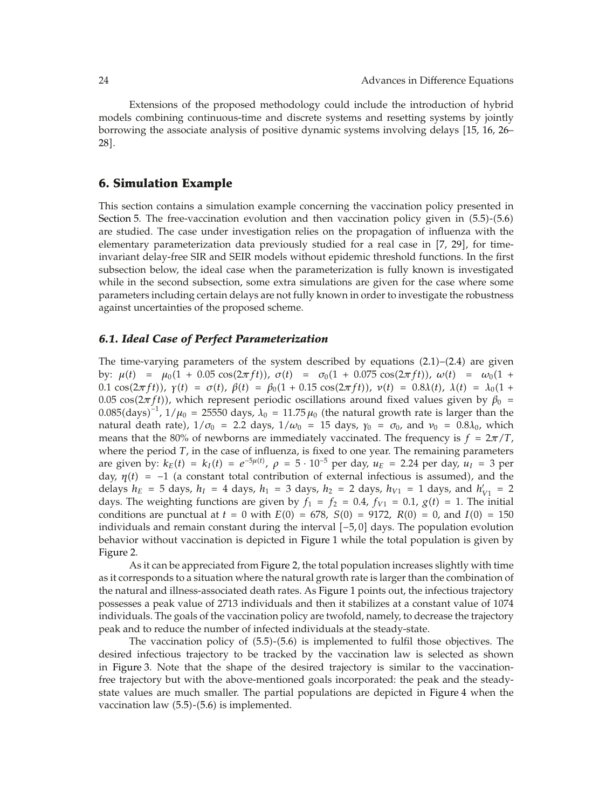Extensions of the proposed methodology could include the introduction of hybrid models combining continuous-time and discrete systems and resetting systems by jointly borrowing the associate analysis of positive dynamic systems involving delays 15, 16, 26– 28].

### **6. Simulation Example**

This section contains a simulation example concerning the vaccination policy presented in Section 5. The free-vaccination evolution and then vaccination policy given in  $(5.5)-(5.6)$ are studied. The case under investigation relies on the propagation of influenza with the elementary parameterization data previously studied for a real case in [7, 29], for timeinvariant delay-free SIR and SEIR models without epidemic threshold functions. In the first subsection below, the ideal case when the parameterization is fully known is investigated while in the second subsection, some extra simulations are given for the case where some parameters including certain delays are not fully known in order to investigate the robustness against uncertainties of the proposed scheme.

### *6.1. Ideal Case of Perfect Parameterization*

The time-varying parameters of the system described by equations  $(2.1)$ – $(2.4)$  are given by:  $\mu(t) = \mu_0(1 + 0.05 \cos(2\pi ft))$ ,  $\sigma(t) = \sigma_0(1 + 0.075 \cos(2\pi ft))$ ,  $\omega(t) = \omega_0(1 +$ **0.1** cos(2πft), γ(t) =  $\sigma(t)$ ,  $\beta(t) = \beta_0(1 + 0.15 \cos(2\pi ft))$ ,  $v(t) = 0.8\lambda(t)$ ,  $\lambda(t) = \lambda_0(1 + 0.15 \cos(2\pi ft))$ 0.05 cos( $2\pi ft$ ), which represent periodic oscillations around fixed values given by  $\beta_0 =$  $0.085 \rm{(days)}^{-1}$ ,  $1/\mu_0$  = 25550 days,  $\lambda_0$  = 11.75  $\mu_0$  (the natural growth rate is larger than the natural death rate),  $1/\sigma_0 = 2.2$  days,  $1/\omega_0 = 15$  days,  $\gamma_0 = \sigma_0$ , and  $\nu_0 = 0.8\lambda_0$ , which means that the 80% of newborns are immediately vaccinated. The frequency is  $f = 2\pi/T$ , where the period *T*, in the case of influenza, is fixed to one year. The remaining parameters are given by:  $k_E(t) = k_I(t) = e^{-5\mu(t)}$ ,  $\rho = 5 \cdot 10^{-5}$  per day,  $u_E = 2.24$  per day,  $u_I = 3$  per day,  $\eta(t) = -1$  (a constant total contribution of external infectious is assumed), and the delays  $h_E = 5$  days,  $h_I = 4$  days,  $h_1 = 3$  days,  $h_2 = 2$  days,  $h_{V1} = 1$  days, and  $h'_{V1} = 2$ days. The weighting functions are given by  $f_1 = f_2 = 0.4$ ,  $f_{V1} = 0.1$ ,  $g(t) = 1$ . The initial conditions are punctual at  $t = 0$  with  $E(0) = 678$ ,  $S(0) = 9172$ ,  $R(0) = 0$ , and  $I(0) = 150$ individuals and remain constant during the interval −5*,* 0 days. The population evolution behavior without vaccination is depicted in Figure 1 while the total population is given by Figure 2.

As it can be appreciated from Figure 2, the total population increases slightly with time as it corresponds to a situation where the natural growth rate is larger than the combination of the natural and illness-associated death rates. As Figure 1 points out, the infectious trajectory possesses a peak value of 2713 individuals and then it stabilizes at a constant value of 1074 individuals. The goals of the vaccination policy are twofold, namely, to decrease the trajectory peak and to reduce the number of infected individuals at the steady-state.

The vaccination policy of  $(5.5)-(5.6)$  is implemented to fulfil those objectives. The desired infectious trajectory to be tracked by the vaccination law is selected as shown in Figure 3. Note that the shape of the desired trajectory is similar to the vaccinationfree trajectory but with the above-mentioned goals incorporated: the peak and the steadystate values are much smaller. The partial populations are depicted in Figure 4 when the vaccination law  $(5.5)-(5.6)$  is implemented.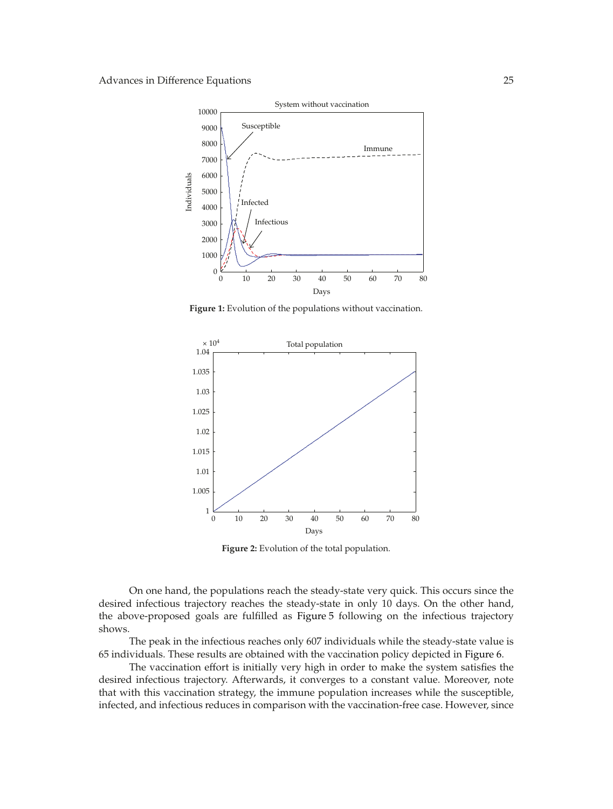

**Figure 1:** Evolution of the populations without vaccination.



**Figure 2:** Evolution of the total population.

On one hand, the populations reach the steady-state very quick. This occurs since the desired infectious trajectory reaches the steady-state in only 10 days. On the other hand, the above-proposed goals are fulfilled as Figure 5 following on the infectious trajectory shows.

The peak in the infectious reaches only 607 individuals while the steady-state value is 65 individuals. These results are obtained with the vaccination policy depicted in Figure 6.

The vaccination effort is initially very high in order to make the system satisfies the desired infectious trajectory. Afterwards, it converges to a constant value. Moreover, note that with this vaccination strategy, the immune population increases while the susceptible, infected, and infectious reduces in comparison with the vaccination-free case. However, since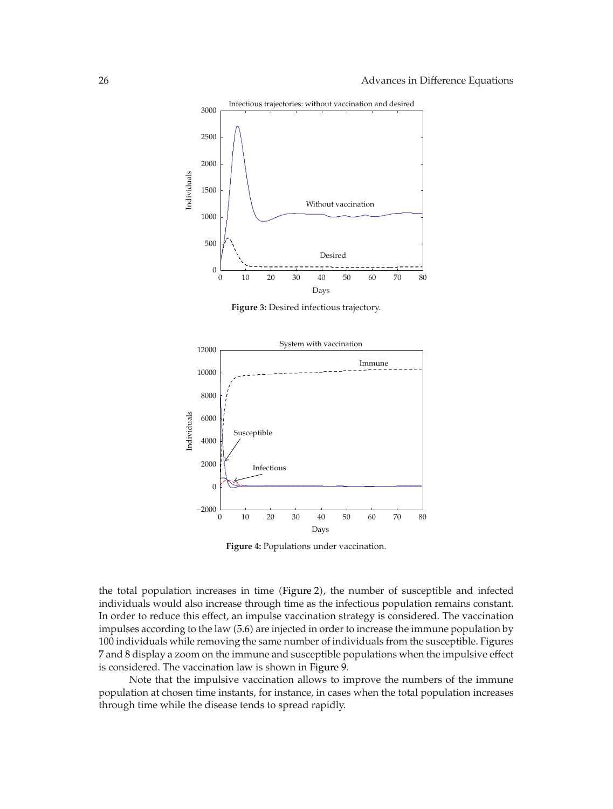

**Figure 3:** Desired infectious trajectory.



**Figure 4:** Populations under vaccination.

the total population increases in time (Figure 2), the number of susceptible and infected individuals would also increase through time as the infectious population remains constant. In order to reduce this effect, an impulse vaccination strategy is considered. The vaccination impulses according to the law 5.6 are injected in order to increase the immune population by 100 individuals while removing the same number of individuals from the susceptible. Figures 7 and 8 display a zoom on the immune and susceptible populations when the impulsive effect is considered. The vaccination law is shown in Figure 9.

Note that the impulsive vaccination allows to improve the numbers of the immune population at chosen time instants, for instance, in cases when the total population increases through time while the disease tends to spread rapidly.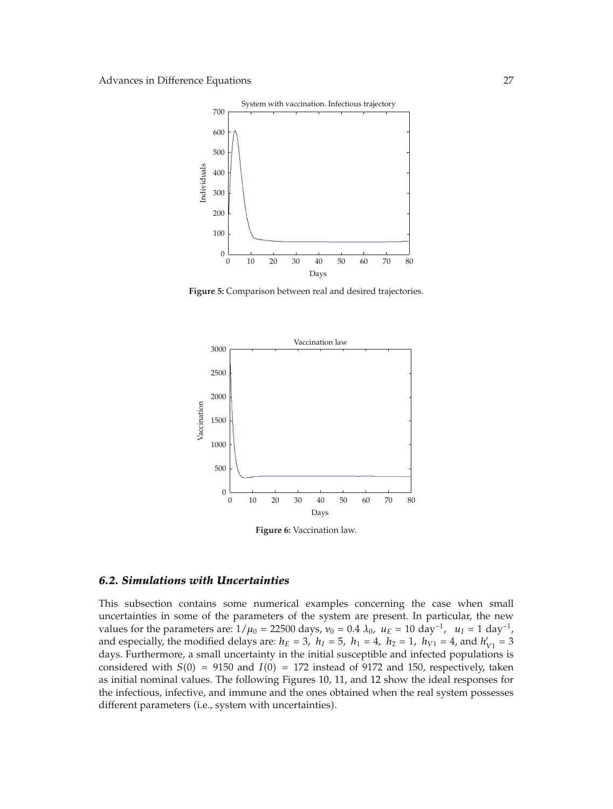

**Figure 5:** Comparison between real and desired trajectories.



**Figure 6:** Vaccination law.

### *6.2. Simulations with Uncertainties*

This subsection contains some numerical examples concerning the case when small uncertainties in some of the parameters of the system are present. In particular, the new values for the parameters are:  $1/\mu_0 = 22500$  days,  $v_0 = 0.4 \lambda_0$ ,  $u_E = 10 \text{ day}^{-1}$ ,  $u_I = 1 \text{ day}^{-1}$ , and especially, the modified delays are:  $h_E = 3$ ,  $h_I = 5$ ,  $h_1 = 4$ ,  $h_2 = 1$ ,  $h_{V1} = 4$ , and  $h'_{V1} = 3$ days. Furthermore, a small uncertainty in the initial susceptible and infected populations is considered with  $S(0) = 9150$  and  $I(0) = 172$  instead of 9172 and 150, respectively, taken as initial nominal values. The following Figures 10, 11, and 12 show the ideal responses for the infectious, infective, and immune and the ones obtained when the real system possesses different parameters (i.e., system with uncertainties).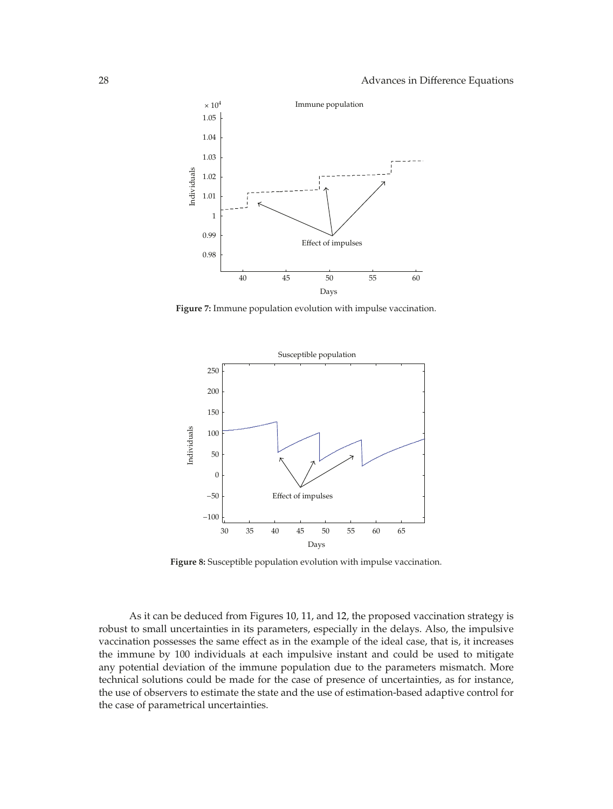

**Figure 7:** Immune population evolution with impulse vaccination.



**Figure 8:** Susceptible population evolution with impulse vaccination.

As it can be deduced from Figures 10, 11, and 12, the proposed vaccination strategy is robust to small uncertainties in its parameters, especially in the delays. Also, the impulsive vaccination possesses the same effect as in the example of the ideal case, that is, it increases the immune by 100 individuals at each impulsive instant and could be used to mitigate any potential deviation of the immune population due to the parameters mismatch. More technical solutions could be made for the case of presence of uncertainties, as for instance, the use of observers to estimate the state and the use of estimation-based adaptive control for the case of parametrical uncertainties.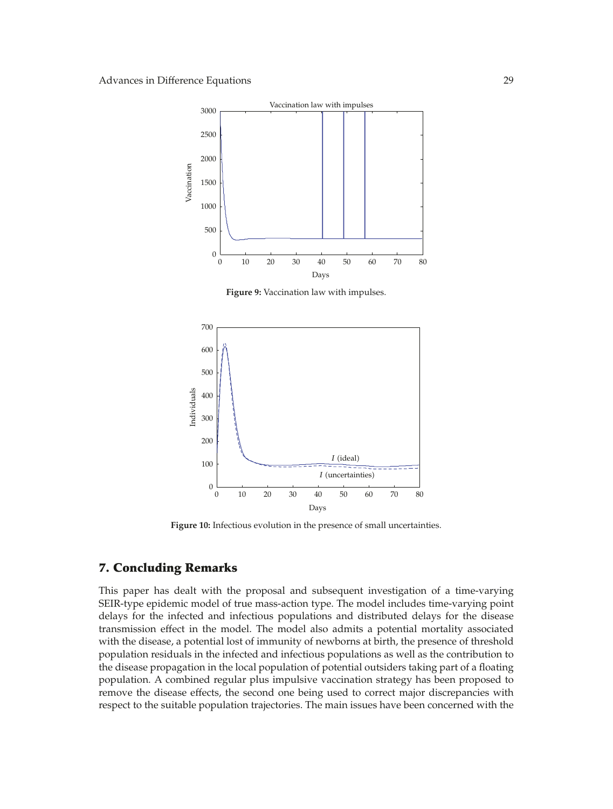

**Figure 9:** Vaccination law with impulses.



**Figure 10:** Infectious evolution in the presence of small uncertainties.

# **7. Concluding Remarks**

This paper has dealt with the proposal and subsequent investigation of a time-varying SEIR-type epidemic model of true mass-action type. The model includes time-varying point delays for the infected and infectious populations and distributed delays for the disease transmission effect in the model. The model also admits a potential mortality associated with the disease, a potential lost of immunity of newborns at birth, the presence of threshold population residuals in the infected and infectious populations as well as the contribution to the disease propagation in the local population of potential outsiders taking part of a floating population. A combined regular plus impulsive vaccination strategy has been proposed to remove the disease effects, the second one being used to correct major discrepancies with respect to the suitable population trajectories. The main issues have been concerned with the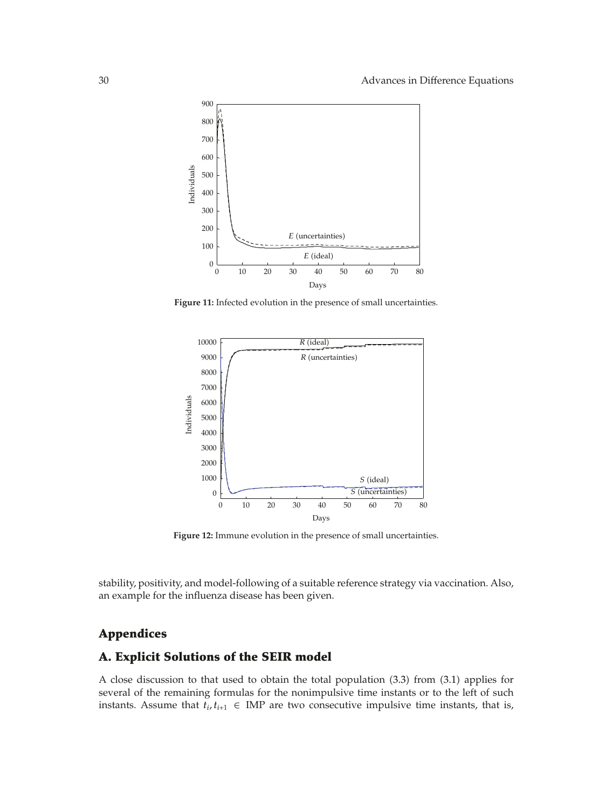

**Figure 11:** Infected evolution in the presence of small uncertainties.



**Figure 12:** Immune evolution in the presence of small uncertainties.

stability, positivity, and model-following of a suitable reference strategy via vaccination. Also, an example for the influenza disease has been given.

# **Appendices**

# **A. Explicit Solutions of the SEIR model**

A close discussion to that used to obtain the total population (3.3) from (3.1) applies for several of the remaining formulas for the nonimpulsive time instants or to the left of such instants. Assume that  $t_i, t_{i+1} \in \text{IMP}$  are two consecutive impulsive time instants, that is,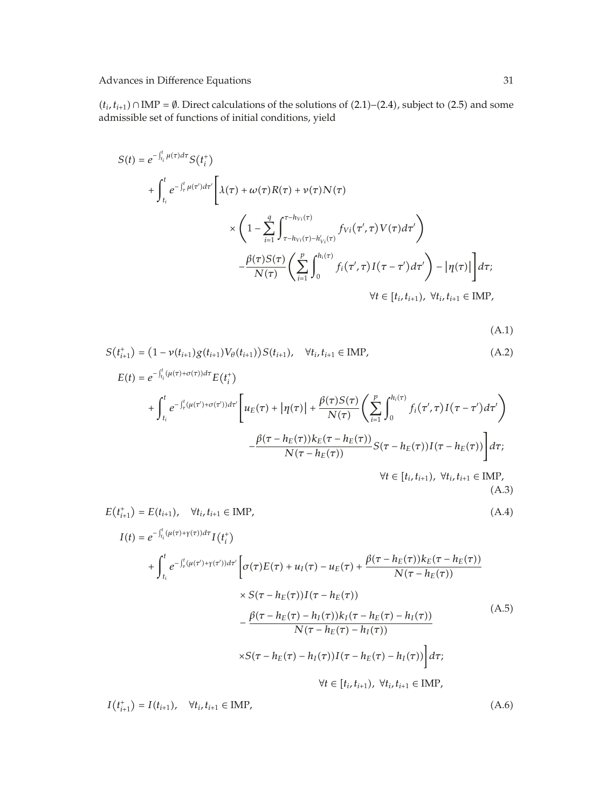$(t_i, t_{i+1})$  ∩ IMP =  $\emptyset$ . Direct calculations of the solutions of (2.1)–(2.4), subject to (2.5) and some admissible set of functions of initial conditions, yield

$$
S(t) = e^{-\int_{t_i}^{t} \mu(\tau) d\tau} S(t_i^+) + \int_{t_i}^{t} e^{-\int_{\tau}^{t} \mu(\tau') d\tau'} \left[ \lambda(\tau) + \omega(\tau) R(\tau) + \nu(\tau) N(\tau) \right. \times \left( 1 - \sum_{i=1}^{q} \int_{\tau - h_{Vi}(\tau) - h'_{Vi}(\tau)}^{\tau - h_{Vi}(\tau)} f_{Vi}(\tau', \tau) V(\tau) d\tau' \right) - \frac{\beta(\tau) S(\tau)}{N(\tau)} \left( \sum_{i=1}^{p} \int_{0}^{h_i(\tau)} f_i(\tau', \tau) I(\tau - \tau') d\tau' \right) - |\eta(\tau)| \right] d\tau; \forall t \in [t_i, t_{i+1}), \forall t_i, t_{i+1} \in \text{IMP},
$$

 $(A.1)$ 

$$
S(t_{i+1}^{+}) = (1 - \nu(t_{i+1})g(t_{i+1})V_{\theta}(t_{i+1}))S(t_{i+1}), \quad \forall t_{i}, t_{i+1} \in \text{IMP},
$$
\n(A.2)\n
$$
E(t) = e^{-\int_{t_{i}}^{t} (\mu(\tau) + \sigma(\tau))d\tau} E(t_{i}^{+})
$$
\n
$$
+ \int_{t_{i}}^{t} e^{-\int_{\tau}^{t} (\mu(\tau') + \sigma(\tau'))d\tau'} \left[ u_{E}(\tau) + |\eta(\tau)| + \frac{\beta(\tau)S(\tau)}{N(\tau)} \left( \sum_{i=1}^{p} \int_{0}^{h_{i}(\tau)} f_{i}(\tau',\tau)I(\tau-\tau')d\tau' \right) - \frac{\beta(\tau - h_{E}(\tau))k_{E}(\tau - h_{E}(\tau))}{N(\tau - h_{E}(\tau))} S(\tau - h_{E}(\tau))I(\tau - h_{E}(\tau)) \right] d\tau;
$$
\n
$$
\forall t \in [t_{i}, t_{i+1}), \forall t_{i}, t_{i+1} \in \text{IMP},
$$
\n(A.3)

$$
E(t_{i+1}^{+}) = E(t_{i+1}), \quad \forall t_{i}, t_{i+1} \in \text{IMP},
$$
\n
$$
I(t) = e^{-\int_{t_{i}}^{t} (\mu(\tau) + \gamma(\tau))d\tau} I(t_{i}^{+})
$$
\n
$$
+ \int_{t_{i}}^{t} e^{-\int_{\tau}^{t} (\mu(\tau') + \gamma(\tau'))d\tau'} \left[ \sigma(\tau)E(\tau) + u_{I}(\tau) - u_{E}(\tau) + \frac{\beta(\tau - h_{E}(\tau))k_{E}(\tau - h_{E}(\tau))}{N(\tau - h_{E}(\tau))}\right]
$$
\n
$$
\times S(\tau - h_{E}(\tau))I(\tau - h_{E}(\tau))
$$
\n
$$
- \frac{\beta(\tau - h_{E}(\tau) - h_{I}(\tau))k_{I}(\tau - h_{E}(\tau) - h_{I}(\tau))}{N(\tau - h_{E}(\tau) - h_{I}(\tau))}
$$
\n
$$
\times S(\tau - h_{E}(\tau) - h_{I}(\tau))I(\tau - h_{E}(\tau) - h_{I}(\tau))\right]d\tau;
$$
\n
$$
\forall t \in [t_{i}, t_{i+1}), \forall t_{i}, t_{i+1} \in \text{IMP},
$$
\n(A.5)

 $I(t_{i+1}^+) = I(t_{i+1}), \quad \forall t_i, t_{i+1} \in \text{IMP},$ (A.6)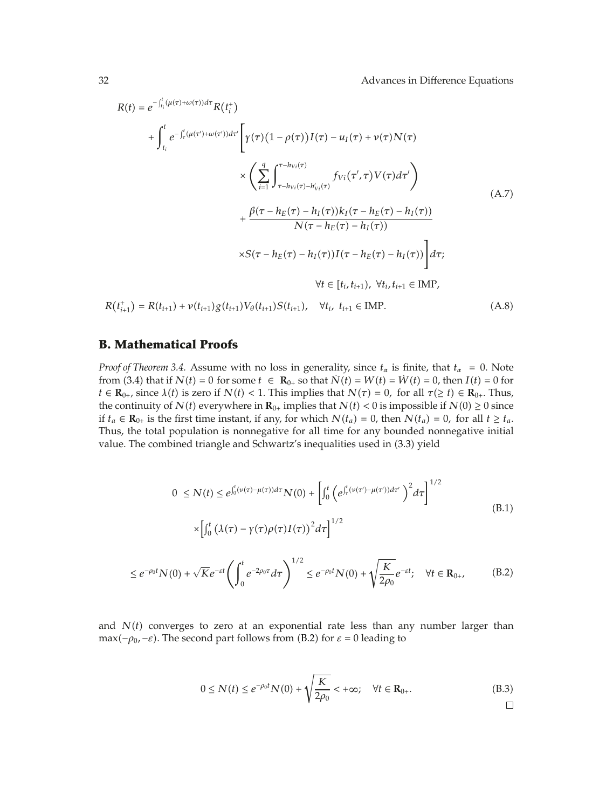$$
R(t) = e^{-\int_{t_i}^{t} (\mu(\tau) + \omega(\tau)) d\tau} R(t_i^+)
$$
  
+ 
$$
\int_{t_i}^{t} e^{-\int_{\tau}^{t} (\mu(\tau') + \omega(\tau')) d\tau'} \left[ \gamma(\tau) (1 - \rho(\tau)) I(\tau) - u_I(\tau) + \nu(\tau) N(\tau) \right]
$$
  

$$
\times \left( \sum_{i=1}^{q} \int_{\tau - h_{Vi}(\tau) - h_{Vi}(\tau)}^{\tau - h_{Vi}(\tau)} f_{Vi}(\tau', \tau) V(\tau) d\tau' \right)
$$
  
+ 
$$
\frac{\beta(\tau - h_E(\tau) - h_I(\tau)) k_I(\tau - h_E(\tau) - h_I(\tau))}{N(\tau - h_E(\tau) - h_I(\tau))}
$$
  

$$
\times S(\tau - h_E(\tau) - h_I(\tau)) I(\tau - h_E(\tau) - h_I(\tau)) \right] d\tau;
$$
  
+ 
$$
\forall t \in [t_i, t_{i+1}), \forall t_i, t_{i+1} \in \text{IMP},
$$
  

$$
R(t_{i+1}^+) = R(t_{i+1}) + \nu(t_{i+1}) g(t_{i+1}) V_{\theta}(t_{i+1}) S(t_{i+1}), \quad \forall t_i, t_{i+1} \in \text{IMP}.
$$
 (A.8)

### **B. Mathematical Proofs**

*Proof of Theorem 3.4.* Assume with no loss in generality, since  $t_{\alpha}$  is finite, that  $t_{\alpha} = 0$ . Note from (3.4) that if  $N(t) = 0$  for some  $t \in \mathbb{R}_{0+}$  so that  $\dot{N}(t) = W(t) = \dot{W}(t) = 0$ , then  $I(t) = 0$  for *t* ∈ **R**<sub>0</sub><sup>*+*</sup>, since  $\lambda$ *(t)* is zero if  $N$ *(t)* < 1. This implies that  $N(\tau) = 0$ , for all  $\tau$ ( $\ge t$ ) ∈ **R**<sub>0</sub><sup>*+*</sup>. Thus, the continuity of *N*(*t*) everywhere in  $\mathbf{R}_{0+}$  implies that *N*(*t*) < 0 is impossible if *N*(0) ≥ 0 since if *t<sub>a</sub>* ∈ **R**<sub>0</sub><sup>*+*</sup> is the first time instant, if any, for which  $N(t_a) = 0$ , then  $N(t_a) = 0$ , for all *t* ≥ *t<sub>a</sub>*. Thus, the total population is nonnegative for all time for any bounded nonnegative initial value. The combined triangle and Schwartz's inequalities used in  $(3.3)$  yield

$$
0 \le N(t) \le e^{\int_0^t (\nu(\tau) - \mu(\tau))d\tau} N(0) + \left[ \int_0^t \left( e^{\int_\tau^t (\nu(\tau') - \mu(\tau'))d\tau'} \right)^2 d\tau \right]^{1/2}
$$
  
 
$$
\times \left[ \int_0^t \left( \lambda(\tau) - \gamma(\tau)\rho(\tau)I(\tau) \right)^2 d\tau \right]^{1/2}
$$
(B.1)

$$
\leq e^{-\rho_0 t} N(0) + \sqrt{K} e^{-\varepsilon t} \left( \int_0^t e^{-2\rho_0 \tau} d\tau \right)^{1/2} \leq e^{-\rho_0 t} N(0) + \sqrt{\frac{K}{2\rho_0}} e^{-\varepsilon t}; \quad \forall t \in \mathbf{R}_{0+}, \tag{B.2}
$$

and  $N(t)$  converges to zero at an exponential rate less than any number larger than max(*-* $\rho_0$ , -*ε*). The second part follows from (B.2) for  $\varepsilon$  = 0 leading to

$$
0 \le N(t) \le e^{-\rho_0 t} N(0) + \sqrt{\frac{K}{2\rho_0}} < +\infty; \quad \forall t \in \mathbf{R}_{0+}.
$$
 (B.3)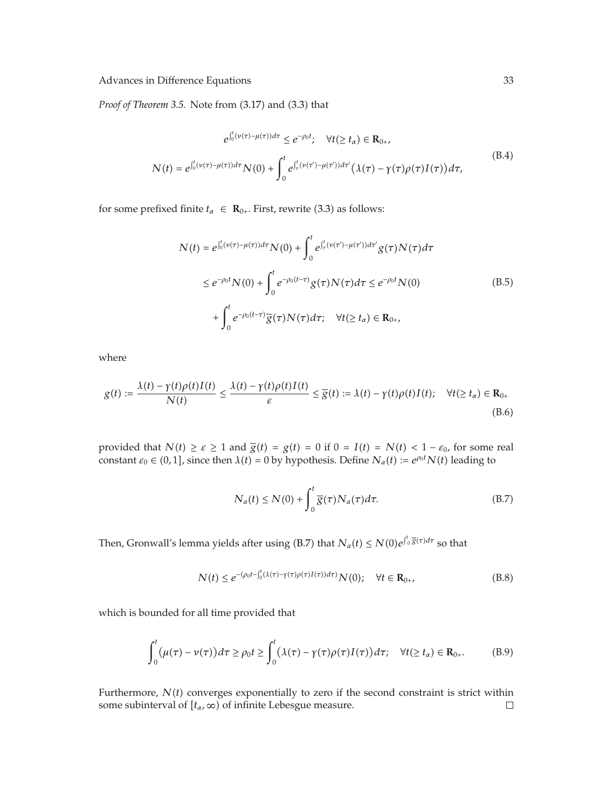*Proof of Theorem 3.5.* Note from (3.17) and (3.3) that

$$
e^{\int_0^t (\nu(\tau) - \mu(\tau))d\tau} \le e^{-\rho_0 t}; \quad \forall t (\ge t_\alpha) \in \mathbf{R}_{0+},
$$
  

$$
N(t) = e^{\int_0^t (\nu(\tau) - \mu(\tau))d\tau} N(0) + \int_0^t e^{\int_\tau^t (\nu(\tau') - \mu(\tau'))d\tau'} (\lambda(\tau) - \gamma(\tau)\rho(\tau)I(\tau))d\tau,
$$
(B.4)

for some prefixed finite  $t_{\alpha} \in \mathbf{R}_{0+}$ . First, rewrite (3.3) as follows:

$$
N(t) = e^{\int_0^t (\nu(\tau) - \mu(\tau))d\tau} N(0) + \int_0^t e^{\int_\tau^t (\nu(\tau') - \mu(\tau'))d\tau'} g(\tau)N(\tau)d\tau
$$
  
\n
$$
\leq e^{-\rho_0 t} N(0) + \int_0^t e^{-\rho_0(t-\tau)} g(\tau)N(\tau)d\tau \leq e^{-\rho_0 t} N(0)
$$
  
\n
$$
+ \int_0^t e^{-\rho_0(t-\tau)} \overline{g}(\tau)N(\tau)d\tau; \quad \forall t (\geq t_\alpha) \in \mathbf{R}_{0+},
$$
\n(B.5)

where

$$
g(t) := \frac{\lambda(t) - \gamma(t)\rho(t)I(t)}{N(t)} \le \frac{\lambda(t) - \gamma(t)\rho(t)I(t)}{\varepsilon} \le \overline{g}(t) := \lambda(t) - \gamma(t)\rho(t)I(t); \quad \forall t (\ge t_\alpha) \in \mathbf{R}_{0+}
$$
\n(B.6)

provided that  $N(t) \ge \varepsilon \ge 1$  and  $\overline{g}(t) = g(t) = 0$  if  $0 = I(t) = N(t) < 1 - \varepsilon_0$ , for some real constant  $\varepsilon_0 \in (0,1]$ , since then  $\lambda(t) = 0$  by hypothesis. Define  $N_a(t) := e^{\rho_0 t} N(t)$  leading to

$$
N_a(t) \le N(0) + \int_0^t \overline{g}(\tau) N_a(\tau) d\tau.
$$
 (B.7)

Then, Gronwall's lemma yields after using (B.7) that  $N_a(t) \le N(0)e^{\int_0^t \overline{g}(\tau)d\tau}$  so that

$$
N(t) \le e^{-(\rho_0 t - \int_0^t (\lambda(\tau) - \gamma(\tau)) \rho(\tau) I(\tau)) d\tau)} N(0); \quad \forall t \in \mathbf{R}_{0+},
$$
\n(B.8)

which is bounded for all time provided that

$$
\int_0^t (\mu(\tau) - \nu(\tau))d\tau \ge \rho_0 t \ge \int_0^t (\lambda(\tau) - \gamma(\tau)\rho(\tau)I(\tau))d\tau; \quad \forall t (\ge t_\alpha) \in \mathbf{R}_{0+}.
$$
 (B.9)

Furthermore,  $N(t)$  converges exponentially to zero if the second constraint is strict within some subinterval of  $[t_\alpha, \infty)$  of infinite Lebesgue measure.  $\Box$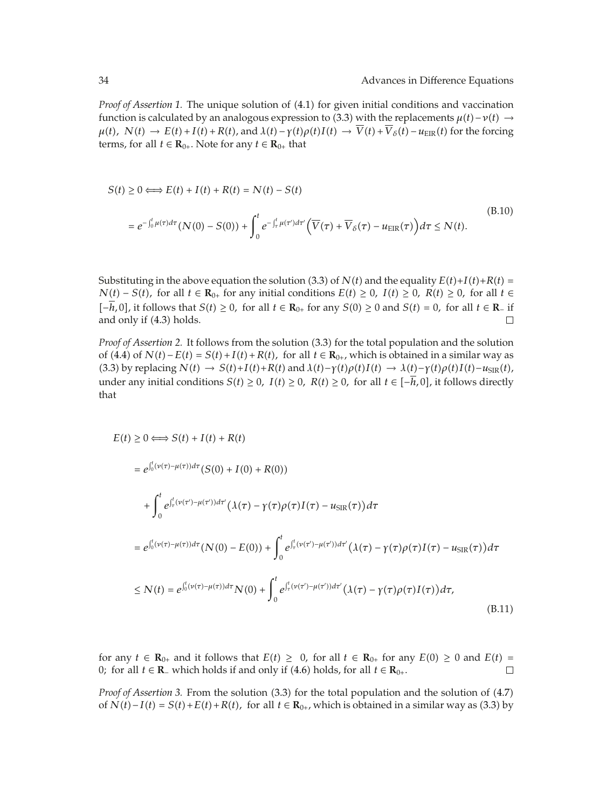*Proof of Assertion 1.* The unique solution of (4.1) for given initial conditions and vaccination function is calculated by an analogous expression to (3.3) with the replacements  $\mu(t) - \nu(t) \rightarrow$  $\mu(t)$ ,  $N(t) \rightarrow E(t) + I(t) + R(t)$ , and  $\lambda(t) - \gamma(t)\rho(t)I(t) \rightarrow \overline{V}(t) + \overline{V}_\delta(t) - u_{\text{EIR}}(t)$  for the forcing terms, for all  $t \in \mathbf{R}_{0+}$ . Note for any  $t \in \mathbf{R}_{0+}$  that

$$
S(t) \ge 0 \Longleftrightarrow E(t) + I(t) + R(t) = N(t) - S(t)
$$
\n
$$
= e^{-\int_0^t \mu(\tau)d\tau} (N(0) - S(0)) + \int_0^t e^{-\int_\tau^t \mu(\tau')d\tau'} \left(\overline{V}(\tau) + \overline{V}_\delta(\tau) - u_{\text{EIR}}(\tau)\right) d\tau \le N(t).
$$
\n(B.10)

Substituting in the above equation the solution (3.3) of  $N(t)$  and the equality  $E(t)+I(t)+R(t)$ *N*(*t*) − *S*(*t*), for all *t* ∈ **R**<sub>0</sub></u>, for any initial conditions  $E(t) \ge 0$ ,  $I(t) \ge 0$ ,  $R(t) \ge 0$ , for all  $t \in$  $[-h, 0]$ , it follows that *S(t)* ≥ 0, for all *t* ∈ **R**<sub>0<sup>+</sub></sup> for any *S*(0) ≥ 0 and *S(t)* = 0, for all *t* ∈ **R**− if and only if (4.3) holds.  $\Box$ </sub> and only if  $(4.3)$  holds.

*Proof of Assertion 2.* It follows from the solution (3.3) for the total population and the solution of  $(4.4)$  of  $N(t) - E(t) = S(t) + I(t) + R(t)$ , for all  $t \in \mathbb{R}_{0+}$ , which is obtained in a similar way as (3.3) by replacing  $N(t) \rightarrow S(t)+I(t)+R(t)$  and  $\lambda(t)-\gamma(t)\rho(t)I(t) \rightarrow \lambda(t)-\gamma(t)\rho(t)I(t)-u_{\text{SIR}}(t)$ , under any initial conditions *S*(*t*) ≥ 0, *I*(*t*) ≥ 0, *R*(*t*) ≥ 0, for all *t* ∈  $[-h, 0]$ , it follows directly that

$$
E(t) \ge 0 \Longleftrightarrow S(t) + I(t) + R(t)
$$
  
\n
$$
= e^{\int_0^t (\nu(\tau) - \mu(\tau))d\tau} (S(0) + I(0) + R(0))
$$
  
\n
$$
+ \int_0^t e^{\int_\tau^t (\nu(\tau') - \mu(\tau'))d\tau'} (\lambda(\tau) - \gamma(\tau)\rho(\tau)I(\tau) - u_{\text{SIR}}(\tau))d\tau
$$
  
\n
$$
= e^{\int_0^t (\nu(\tau) - \mu(\tau))d\tau} (N(0) - E(0)) + \int_0^t e^{\int_\tau^t (\nu(\tau') - \mu(\tau'))d\tau'} (\lambda(\tau) - \gamma(\tau)\rho(\tau)I(\tau) - u_{\text{SIR}}(\tau))d\tau
$$
  
\n
$$
\le N(t) = e^{\int_0^t (\nu(\tau) - \mu(\tau))d\tau} N(0) + \int_0^t e^{\int_\tau^t (\nu(\tau') - \mu(\tau'))d\tau'} (\lambda(\tau) - \gamma(\tau)\rho(\tau)I(\tau))d\tau,
$$
\n(B.11)

for any *t* ∈ **R**<sub>0<sup>+</sup></sub> and it follows that *E*(*t*) ≥ 0*,* for all *t* ∈ **R**<sub>0<sup>+</sub></sup> for any *E*(0) ≥ 0 and *E*(*t*) = 0; for all *t* ∈ **R**<sub>−</sub> which holds if and only if (4.6) holds, for all *t* ∈ **R**<sub>0+</sub>. □</sub> 0; for all *t* ∈ **R**<sub>−</sub> which holds if and only if (4.6) holds, for all *t* ∈ **R**<sub>0+</sub>.

*Proof of Assertion 3.* From the solution  $(3.3)$  for the total population and the solution of  $(4.7)$ of *N*(*t*) − *I*(*t*) = *S*(*t*) + *E*(*t*) + *R*(*t*), for all *t* ∈ **R**<sub>0+</sub>, which is obtained in a similar way as (3.3) by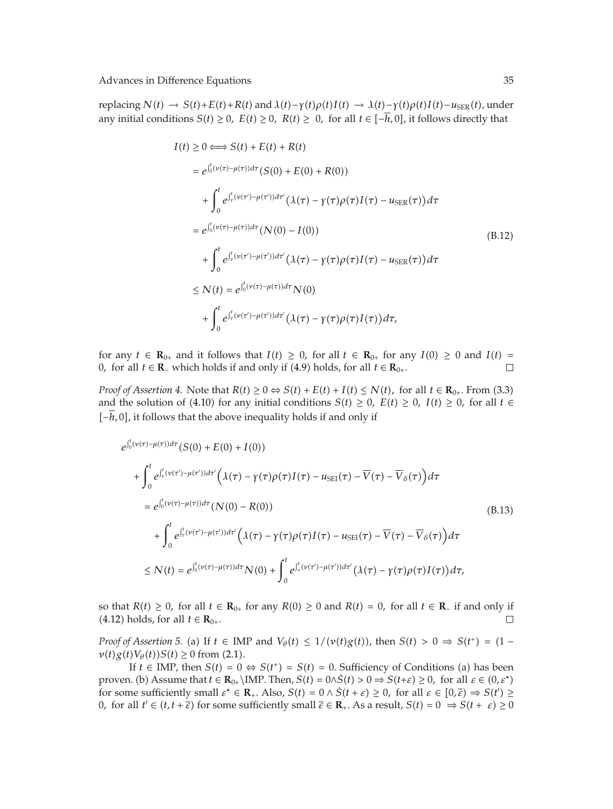replacing  $N(t) \rightarrow S(t) + E(t) + R(t)$  and  $\lambda(t) - \gamma(t)\rho(t)I(t) \rightarrow \lambda(t) - \gamma(t)\rho(t)I(t) - u_{\text{SER}}(t)$ , under any initial conditions *S(t)* ≥ 0*, E(t)* ≥ 0*, R(t)* ≥ 0*,* for all *t* ∈  $[-h, 0]$ *,* it follows directly that

$$
I(t) \geq 0 \Longleftrightarrow S(t) + E(t) + R(t)
$$
  
\n
$$
= e^{\int_0^t (\nu(\tau) - \mu(\tau))d\tau} (S(0) + E(0) + R(0))
$$
  
\n
$$
+ \int_0^t e^{\int_\tau^t (\nu(\tau') - \mu(\tau'))d\tau'} (\lambda(\tau) - \gamma(\tau)\rho(\tau)I(\tau) - u_{\text{SER}}(\tau))d\tau
$$
  
\n
$$
= e^{\int_0^t (\nu(\tau) - \mu(\tau))d\tau} (N(0) - I(0))
$$
  
\n
$$
+ \int_0^t e^{\int_\tau^t (\nu(\tau') - \mu(\tau'))d\tau'} (\lambda(\tau) - \gamma(\tau)\rho(\tau)I(\tau) - u_{\text{SER}}(\tau))d\tau
$$
  
\n
$$
\leq N(t) = e^{\int_0^t (\nu(\tau) - \mu(\tau))d\tau} N(0)
$$
  
\n
$$
+ \int_0^t e^{\int_\tau^t (\nu(\tau') - \mu(\tau'))d\tau'} (\lambda(\tau) - \gamma(\tau)\rho(\tau)I(\tau))d\tau,
$$

for any *t* ∈ **R**<sub>0</sub><sup>*+*</sup> and it follows that *I*(*t*) ≥ 0*,* for all *t* ∈ **R**<sub>0</sub><sup>*+*</sup> for any *I*(0) ≥ 0 and *I*(*t*) = 0*,* for all *t* ∈ **R**<sub>−</sub> which holds if and only if (4.9) holds. for all *t* ∈ **R**<sub>0<sup>*+*</sup></sub>. 0, for all *t* ∈ **R**<sub>−</sub> which holds if and only if (4.9) holds, for all *t* ∈ **R**<sub>0+</sub>.

*Proof of Assertion 4.* Note that  $R(t) \ge 0 \Leftrightarrow S(t) + E(t) + I(t) \le N(t)$ , for all  $t \in \mathbb{R}_{0+}$ . From (3.3) and the solution of (4.10) for any initial conditions  $S(t) \geq 0$ ,  $E(t) \geq 0$ ,  $I(t) \geq 0$ , for all  $t \in$  $[-h, 0]$ , it follows that the above inequality holds if and only if

$$
e^{\int_0^t (\nu(\tau)-\mu(\tau))d\tau} (S(0) + E(0) + I(0))
$$
  
+ 
$$
\int_0^t e^{\int_\tau^t (\nu(\tau')-\mu(\tau'))d\tau'} \left(\lambda(\tau)-\gamma(\tau)\rho(\tau)I(\tau) - u_{\text{SEI}}(\tau) - \overline{V}(\tau) - \overline{V}_{\delta}(\tau)\right) d\tau
$$
  
= 
$$
e^{\int_0^t (\nu(\tau)-\mu(\tau))d\tau} (N(0) - R(0))
$$
  
+ 
$$
\int_0^t e^{\int_\tau^t (\nu(\tau')-\mu(\tau'))d\tau'} \left(\lambda(\tau)-\gamma(\tau)\rho(\tau)I(\tau) - u_{\text{SEI}}(\tau) - \overline{V}(\tau) - \overline{V}_{\delta}(\tau)\right) d\tau
$$
  

$$
\leq N(t) = e^{\int_0^t (\nu(\tau)-\mu(\tau))d\tau} N(0) + \int_0^t e^{\int_\tau^t (\nu(\tau')-\mu(\tau'))d\tau'} \left(\lambda(\tau)-\gamma(\tau)\rho(\tau)I(\tau)\right) d\tau,
$$
 (13)

so that *R(t)* ≥ 0*,* for all *t* ∈ **R**<sub>0+</sub> for any *R*(0) ≥ 0 and *R(t)* = 0*,* for all *t* ∈ **R**− if and only if (4.12) holds, for all *t* ∈ **R**<sub>0+</sub>.  $(4.12)$  holds, for all *t* ∈ **R**<sub>0+</sub>.

*Proof of Assertion 5.* (a) If  $t \in \text{IMP}$  and  $V_{\theta}(t) \leq 1/(v(t)g(t))$ , then  $S(t) > 0 \Rightarrow S(t^+) = (1$  $v(t)g(t)V_{\theta}(t)S(t) \ge 0$  from (2.1).

If *t* ∈ IMP, then *S*(*t*) = 0 ⇔ *S*(*t*<sup>+</sup>) = *S*(*t*) = 0. Sufficiency of Conditions (a) has been proven. (b) Assume that  $t \in \mathbb{R}_{0+} \backslash \text{IMP}$ . Then,  $S(t) = 0 \land \dot{S}(t) > 0 \Rightarrow S(t+\varepsilon) \ge 0$ , for all  $\varepsilon \in (0,\varepsilon^*)$ for some sufficiently small  $\varepsilon^* \in \mathbb{R}_+$ . Also,  $S(t) = 0 \wedge \dot{S}(t + \varepsilon) \ge 0$ , for all  $\varepsilon \in [0, \overline{\varepsilon}) \Rightarrow S(t') \ge 0$ , for all  $t' \in (t + \pm \overline{\varepsilon})$  for some sufficiently small  $\overline{\varepsilon} \in \mathbb{R}$ . As a result  $S(t) = 0 \rightarrow S(t + \overline$ 0, for all  $t' \in (t, t + \overline{\varepsilon})$  for some sufficiently small  $\overline{\varepsilon} \in \mathbb{R}_+$ . As a result,  $S(t) = 0 \implies S(t + \varepsilon) \ge 0$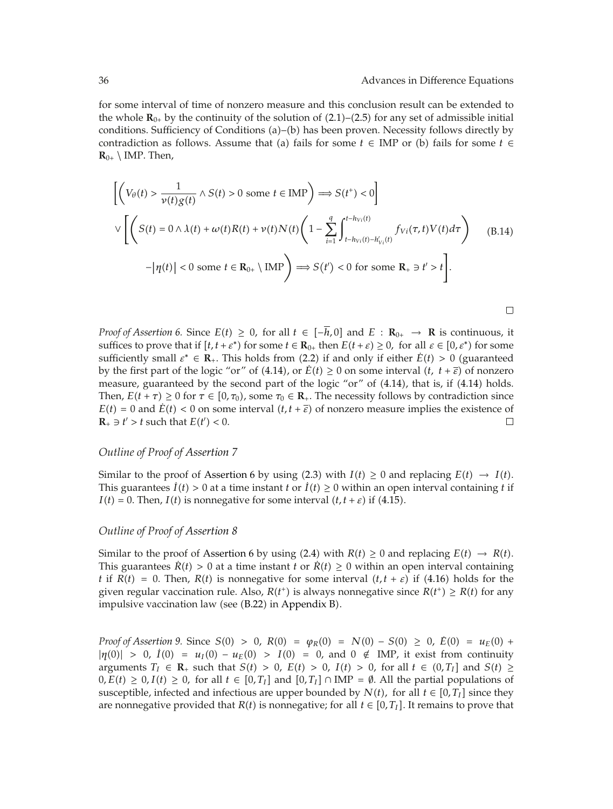$\Box$ 

for some interval of time of nonzero measure and this conclusion result can be extended to the whole  $\mathbf{R}_{0+}$  by the continuity of the solution of (2.1)–(2.5) for any set of admissible initial conditions. Sufficiency of Conditions  $(a)$ – $(b)$  has been proven. Necessity follows directly by contradiction as follows. Assume that (a) fails for some  $t \in \text{IMP}$  or (b) fails for some  $t \in$  $\mathbf{R}_{0+} \setminus \text{IMP. Then,}$ 

$$
\left[ \left( V_{\theta}(t) > \frac{1}{\nu(t)g(t)} \wedge S(t) > 0 \text{ some } t \in \text{IMP} \right) \Longrightarrow S(t^+) < 0 \right]
$$
  

$$
\vee \left[ \left( S(t) = 0 \wedge \lambda(t) + \omega(t)R(t) + \nu(t)N(t) \left( 1 - \sum_{i=1}^q \int_{t - h_{Vi}(t) - h'_{Vi}(t)}^{t - h_{Vi}(t)} f_{Vi}(\tau, t) V(t) d\tau \right) - |\eta(t)| < 0 \text{ some } t \in \mathbf{R}_{0+} \setminus \text{IMP} \right) \Longrightarrow S(t') < 0 \text{ for some } \mathbf{R}_+ \ni t' > t \right].
$$
 (B.14)

*Proof of Assertion 6.* Since  $E(t) \geq 0$ , for all  $t \in [-\overline{h}, 0]$  and  $E: \mathbb{R}_{0+} \to \mathbb{R}$  is continuous, it suffices to prove that if  $[t, t + \varepsilon^*)$  for some  $t \in \mathbb{R}_{0+}$  then  $E(t + \varepsilon) \geq 0$ , for all  $\varepsilon \in [0, \varepsilon^*)$  for some sufficiently small  $\varepsilon^* \in \mathbb{R}_+$ . This holds from (2.2) if and only if either  $\dot{E}(t) > 0$  (guaranteed by the first part of the logic "or" of (4.14), or  $\dot{E}(t) \ge 0$  on some interval  $(t, t + \overline{\varepsilon})$  of nonzero measure, guaranteed by the second part of the logic "or" of  $(4.14)$ , that is, if  $(4.14)$  holds. Then,  $E(t + \tau) \ge 0$  for  $\tau \in [0, \tau_0)$ , some  $\tau_0 \in \mathbb{R}_+$ . The necessity follows by contradiction since  $E(t) = 0$  and  $\dot{E}(t) < 0$  on some interval  $(t, t + \overline{\varepsilon})$  of nonzero measure implies the existence of  $\Box$  $\mathbf{R}_{+} \ni t' > t$  such that  $E(t') < 0$ .

#### *Outline of Proof of Assertion 7*

Similar to the proof of Assertion 6 by using (2.3) with  $I(t) \ge 0$  and replacing  $E(t) \to I(t)$ . This guarantees  $\dot{I}(t) > 0$  at a time instant t or  $\dot{I}(t) \ge 0$  within an open interval containing t if  $I(t) = 0$ . Then,  $I(t)$  is nonnegative for some interval  $(t, t + \varepsilon)$  if (4.15).

#### *Outline of Proof of Assertion 8*

Similar to the proof of Assertion 6 by using (2.4) with  $R(t) \ge 0$  and replacing  $E(t) \rightarrow R(t)$ . This guarantees  $\dot{R}(t) > 0$  at a time instant *t* or  $\dot{R}(t) \ge 0$  within an open interval containing *t* if  $R(t) = 0$ . Then,  $R(t)$  is nonnegative for some interval  $(t, t + \varepsilon)$  if (4.16) holds for the given regular vaccination rule. Also,  $R(t^+)$  is always nonnegative since  $R(t^+) \geq R(t)$  for any impulsive vaccination law (see  $(B.22)$  in Appendix B).

*Proof of Assertion 9.* Since  $S(0) > 0$ ,  $R(0) = \varphi_R(0) = N(0) - S(0) \ge 0$ ,  $\dot{E}(0) = u_E(0) +$  $|\eta(0)| > 0$ ,  $\dot{I}(0) = u_I(0) - u_F(0) > I(0) = 0$ , and  $0 \notin \text{IMP}$ , it exist from continuity arguments  $T_I \in \mathbb{R}_+$  such that  $S(t) > 0$ ,  $E(t) > 0$ ,  $I(t) > 0$ , for all  $t \in (0, T_I]$  and  $S(t) \ge$  $0, E(t) \geq 0, I(t) \geq 0$ , for all  $t \in [0, T_I]$  and  $[0, T_I] \cap \text{IMP} = \emptyset$ . All the partial populations of susceptible, infected and infectious are upper bounded by  $N(t)$ , for all  $t \in [0, T_I]$  since they are nonnegative provided that  $R(t)$  is nonnegative; for all  $t \in [0, T_I]$ . It remains to prove that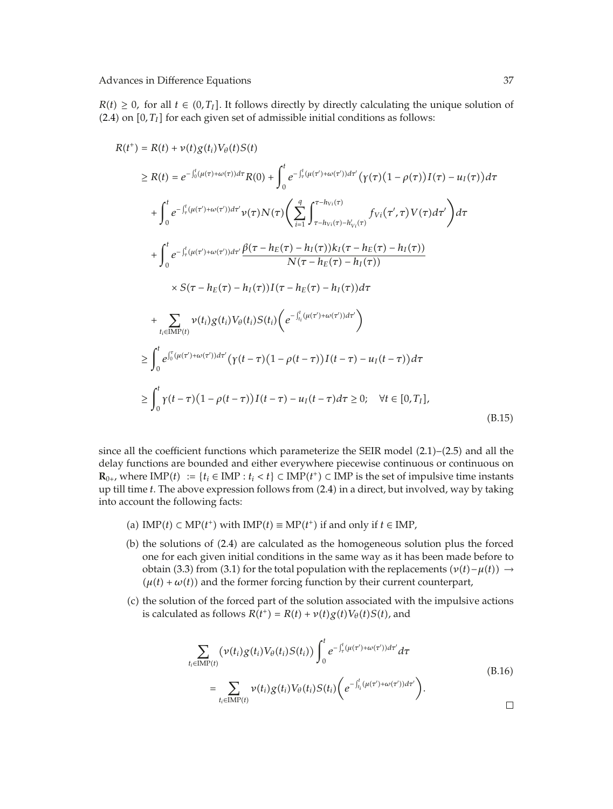$R(t) \geq 0$ , for all  $t \in (0, T_I]$ . It follows directly by directly calculating the unique solution of  $(2.4)$  on  $[0, T_I]$  for each given set of admissible initial conditions as follows:

$$
R(t^{+}) = R(t) + \nu(t)g(t_{i})V_{\theta}(t)S(t)
$$
  
\n
$$
\geq R(t) = e^{-\int_{0}^{t} (\mu(\tau)+\omega(\tau))d\tau}R(0) + \int_{0}^{t} e^{-\int_{\tau}^{t} (\mu(\tau')+\omega(\tau'))d\tau'} (\gamma(\tau)(1-\rho(\tau))I(\tau) - u_{I}(\tau))d\tau
$$
  
\n
$$
+ \int_{0}^{t} e^{-\int_{\tau}^{t} (\mu(\tau')+\omega(\tau'))d\tau'} \nu(\tau)N(\tau) \left(\sum_{i=1}^{q} \int_{\tau-h_{Vi}(\tau)-h'_{Vi}(\tau)}^{\tau-h_{Vi}(\tau)} f_{Vi}(\tau',\tau)V(\tau)d\tau'\right) d\tau
$$
  
\n
$$
+ \int_{0}^{t} e^{-\int_{\tau}^{t} (\mu(\tau')+\omega(\tau'))d\tau'} \frac{\beta(\tau-h_{E}(\tau)-h_{I}(\tau))k_{I}(\tau-h_{E}(\tau)-h_{I}(\tau))}{N(\tau-h_{E}(\tau)-h_{I}(\tau))}
$$
  
\n
$$
\times S(\tau-h_{E}(\tau)-h_{I}(\tau))I(\tau-h_{E}(\tau)-h_{I}(\tau))d\tau
$$
  
\n
$$
+ \sum_{t_{i} \in \text{IMP}(t)} \nu(t_{i})g(t_{i})V_{\theta}(t_{i})S(t_{i}) \left(e^{-\int_{t_{i}}^{t} (\mu(\tau')+\omega(\tau'))d\tau'}\right)
$$
  
\n
$$
\geq \int_{0}^{t} e^{\int_{0}^{\tau} (\mu(\tau')+\omega(\tau'))d\tau'} (\gamma(t-\tau)(1-\rho(t-\tau))I(t-\tau)-u_{I}(t-\tau))d\tau
$$
  
\n
$$
\geq \int_{0}^{t} \gamma(t-\tau)(1-\rho(t-\tau))I(t-\tau)-u_{I}(t-\tau)d\tau \geq 0; \quad \forall t \in [0,T_{I}],
$$
  
\n(B.15)

since all the coefficient functions which parameterize the SEIR model  $(2.1)$ – $(2.5)$  and all the delay functions are bounded and either everywhere piecewise continuous or continuous on **, where IMP(***t***) := {***t<sub>i</sub>* **∈ IMP :** *t<sub>i</sub>* **<** *t***} ⊂ IMP(***t***<sup>+</sup>) ⊂ IMP is the set of impulsive time instants that ill time** *t***. The above expression follows from (2.4) in a direct but involved, way by taking** up till time *t*. The above expression follows from 2.4 in a direct, but involved, way by taking into account the following facts:

- (a) IMP(*t*) ⊂ MP(*t*<sup>+</sup>) with IMP(*t*) ≡ MP(*t*<sup>+</sup>) if and only if *t* ∈ IMP,
- $(b)$  the solutions of  $(2.4)$  are calculated as the homogeneous solution plus the forced one for each given initial conditions in the same way as it has been made before to obtain (3.3) from (3.1) for the total population with the replacements  $(v(t) - \mu(t)) \rightarrow$  $(\mu(t) + \omega(t))$  and the former forcing function by their current counterpart,
- (c) the solution of the forced part of the solution associated with the impulsive actions is calculated as follows  $R(t^+) = R(t) + \nu(t)g(t)V_\theta(t)S(t)$ , and

$$
\sum_{t_i \in \text{IMP}(t)} (\nu(t_i)g(t_i)V_{\theta}(t_i)S(t_i)) \int_0^t e^{-\int_{\tau}^t (\mu(\tau') + \omega(\tau'))d\tau'} d\tau
$$
\n
$$
= \sum_{t_i \in \text{IMP}(t)} \nu(t_i)g(t_i)V_{\theta}(t_i)S(t_i) \left(e^{-\int_{t_i}^t (\mu(\tau') + \omega(\tau'))d\tau'}\right).
$$
\n(B.16)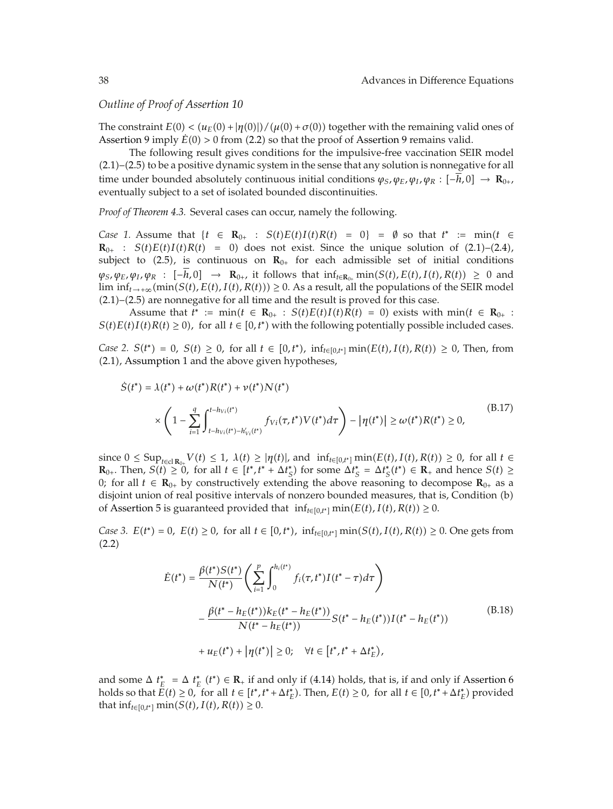### *Outline of Proof of Assertion 10*

The constraint  $E(0) < (u_E(0) + |\eta(0)|)/(\mu(0) + \sigma(0))$  together with the remaining valid ones of Assertion 9 imply  $\dot{E}(0) > 0$  from (2.2) so that the proof of Assertion 9 remains valid.

The following result gives conditions for the impulsive-free vaccination SEIR model  $(2.1)$ – $(2.5)$  to be a positive dynamic system in the sense that any solution is nonnegative for all time under bounded absolutely continuous initial conditions  $\varphi_S$ ,  $\varphi_E$ ,  $\varphi_I$ ,  $\varphi_R$ :  $[-h, 0] \rightarrow \mathbf{R}_{0+}$ , eventually subject to a set of isolated bounded discontinuities.

*Proof of Theorem 4.3.* Several cases can occur, namely the following.

*Case 1.* Assume that  $\{t \in \mathbb{R}_{0+} : S(t)E(t)I(t)R(t) = 0\} = \emptyset$  so that  $t^* := \min(t \in \mathbb{R}_{0+} : S(t)E(t)I(t)R(t) = 0\}$  does not over Since the unique solution of (2.1)–(2.4)  $\mathbf{R}_{0+}$  :  $S(t)E(t)I(t)R(t) = 0$  does not exist. Since the unique solution of (2.1)–(2.4), subject to  $(2.5)$ , is continuous on  $\mathbb{R}_{0+}$  for each admissible set of initial conditions  $\varphi_S$ ,  $\varphi_E$ ,  $\varphi_I$ ,  $\varphi_R$  :  $[-h,0] \rightarrow \mathbf{R}_{0+}$ , it follows that  $\inf_{t \in \mathbf{R}_{0+}} \min(S(t), E(t), I(t), R(t)) \geq 0$  and  $\liminf_{t\to+\infty} \frac{\min(S(t), E(t), I(t), R(t))}{\supseteq} \geq 0$ . As a result, all the populations of the SEIR model  $(2.1)$ – $(2.5)$  are nonnegative for all time and the result is proved for this case.

Assume that  $t^* := \min(t \in \mathbb{R}_{0+} : S(t)E(t)I(t)R(t) = 0)$  exists with  $\min(t \in \mathbb{R}_{0+} : t \in I(t)R(t) > 0)$  for all  $t \in [0, t^*]$  with the following potentially possible included cases  $S(t)E(t)I(t)R(t) \ge 0$ , for all  $t \in [0, t^*)$  with the following potentially possible included cases.

*Case* 2*.*  $S(t^*) = 0$ *,*  $S(t) ≥ 0$ *,* for all  $t ∈ [0, t^*)$ *,*  $inf_{t ∈ [0, t^*]} min(E(t), I(t), R(t)) ≥ 0$ *,* Then, from 2.1, Assumption 1 and the above given hypotheses,

$$
\dot{S}(t^{*}) = \lambda(t^{*}) + \omega(t^{*})R(t^{*}) + \nu(t^{*})N(t^{*})
$$
\n
$$
\times \left(1 - \sum_{i=1}^{q} \int_{t-h_{Vi}(t^{*})-h_{Vi}'(t^{*})}^{t-h_{Vi}(t^{*})} f_{Vi}(\tau, t^{*})V(t^{*})d\tau\right) - |\eta(t^{*})| \ge \omega(t^{*})R(t^{*}) \ge 0,
$$
\n(B.17)

since  $0 \le \text{Sup}_{t \in \text{cl } \mathbb{R}_0} V(t) \le 1$ ,  $\lambda(t) \ge |\eta(t)|$ , and  $\inf_{t \in [0,t^*]} \min(E(t), I(t), R(t)) \ge 0$ , for all  $t \in \mathbb{R}$ .<br>**R**<sub>0</sub> Then  $S(t) > 0$  for all  $t \in [t^* +^* + \Delta t^*)$  for some  $\Delta t^* = \Delta t^* (t^*) \in \mathbb{R}$  and hence  $S(t) > 0$ . **R**<sub>0</sub>. Then,  $S(t) \ge 0$ , for all  $t \in [t^*, t^* + \Delta t^*_{\mathcal{S}}]$  for some  $\Delta t^*_{\mathcal{S}} = \Delta t^*_{\mathcal{S}}(t^*) \in \mathbb{R}_+$  and hence  $S(t) \ge 0$ ; for all  $t \in \mathbb{R}_+$  by constructively extending the above reasoning to decompose  $\mathbb{R}_$ 0; for all *t* ∈  $\mathbf{R}_{0+}$  by constructively extending the above reasoning to decompose  $\mathbf{R}_{0+}$  as a disjoint union of real positive intervals of nonzero bounded measures, that is, Condition (b) of Assertion 5 is guaranteed provided that  $\inf_{t\in[0,t^*]} \min(E(t), I(t), R(t)) \geq 0$ .

*Case* 3. *E*(*t*<sup>∗</sup>) = 0, *E*(*t*) ≥ 0, for all *t* ∈ [0,*t*<sup>∗</sup>), inf<sub>*t*∈[0,*t*<sup>∗</sup>]</sub> min(*S*(*t*), *I*(*t*), *R*(*t*)) ≥ 0. One gets from  $(2.2)$ 

$$
\dot{E}(t^*) = \frac{\beta(t^*)S(t^*)}{N(t^*)} \left( \sum_{i=1}^p \int_0^{h_i(t^*)} f_i(\tau, t^*) I(t^* - \tau) d\tau \right)
$$
\n
$$
- \frac{\beta(t^* - h_E(t^*))k_E(t^* - h_E(t^*))}{N(t^* - h_E(t^*))} S(t^* - h_E(t^*)) I(t^* - h_E(t^*))
$$
\n
$$
+ u_E(t^*) + |\eta(t^*)| \ge 0; \quad \forall t \in [t^*, t^* + \Delta t_E^*),
$$
\n(B.18)

and some  $\Delta t_E^* = \Delta t_E^*$  ( $t^*$ )  $\in \mathbb{R}_+$  if and only if (4.14) holds, that is, if and only if Assertion 6<br>holds so that  $E(t) > 0$ , for all  $t \in [t^* + t^* + \Delta t^*]$ . Then,  $E(t) > 0$ , for all  $t \in [0, t^* + \Delta t^*]$  provided holds so that  $E(t) \ge 0$ , for all  $t \in [t^*, t^* + \Delta t_E^*)$ . Then,  $E(t) \ge 0$ , for all  $t \in [0, t^* + \Delta t_E^*)$  provided that inf<sub>*t*∈[0,*t*<sup>\*</sup>]</sub> min(*S*(*t*), *I*(*t*), *R*(*t*)) ≥ 0.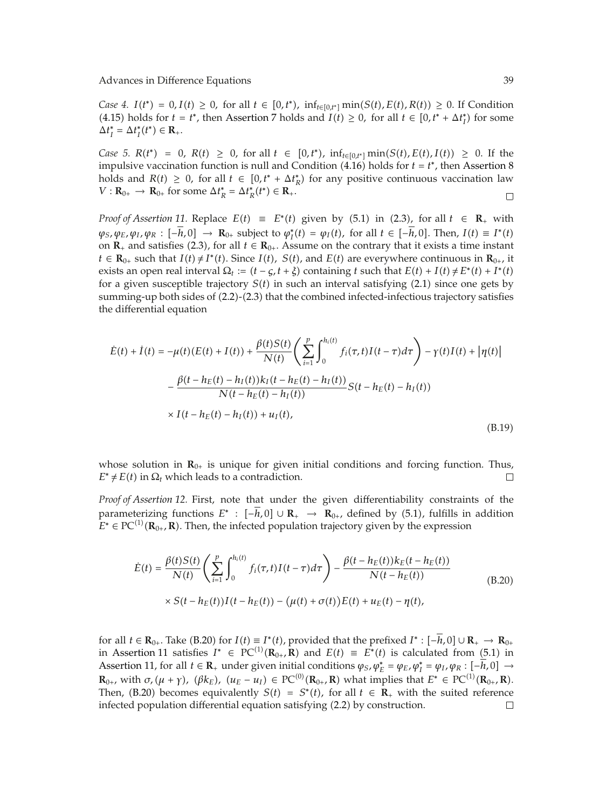*Case* 4. *I*(*t*<sup>\*</sup>) = 0,*I*(*t*) ≥ 0, for all *t* ∈ [0,*t*<sup>\*</sup>),  $\inf_{t \in [0,t^*]} \min(S(t), E(t), R(t)) ≥ 0$ . If Condition  $(4.15)$  holds for  $t = t^*$ , then Assertion 7 holds and  $I(t) \ge 0$ , for all  $t \in [0, t^* + \Delta t_I^*)$  for some  $\Delta t_I^* = \Delta t_I^*(t^*) \in \mathbf{R}_+$ .

 $Case 5. R(t^*) = 0, R(t) \ge 0, \text{ for all } t \in [0,t^*)$ ,  $\inf_{t \in [0,t^*]} \min(S(t), E(t), I(t)) \ge 0.$  If the impulsive vaccination function is null and Condition  $(4.16)$  holds for  $t = t^*$ , then Assertion 8 holds and  $R(t) \geq 0$ , for all  $t \in [0, t^* + \Delta t_R^*)$  for any positive continuous vaccination law  $V: \mathbf{R}_{0+} \to \mathbf{R}_{0+}$  for some  $\Delta t_R^* = \Delta t_R^*(t^*) \in \mathbf{R}_+$ .  $\Box$ 

*Proof of Assertion 11.* Replace  $E(t) \equiv E^*(t)$  given by (5.1) in (2.3), for all  $t \in \mathbb{R}_+$  with  $\varphi_S, \varphi_E, \varphi_I, \varphi_R : [-h, 0] \to \mathbb{R}_{0+}$  subject to  $\varphi_I^*(t) = \varphi_I(t)$ , for all  $t \in [-h, 0]$ . Then,  $I(t) \equiv I^*(t)$ on  $\mathbf{R}_+$  and satisfies (2.3), for all  $t \in \mathbf{R}_{0+}$ . Assume on the contrary that it exists a time instant *t* ∈ **R**<sub>0</sub><sup>*+*</sup> such that *I*(*t*) ≠ *I*<sup>*t*</sup>(*t*). Since *I*(*t*), *S*(*t*), and *E*(*t*) are everywhere continuous in **R**<sub>0<sup>*+*</sup>, it</sub> exists an open real interval  $\Omega_t := (t - \varsigma, t + \xi)$  containing *t* such that  $E(t) + I(t) \neq E^*(t) + I^*(t)$ for a given susceptible trajectory  $S(t)$  in such an interval satisfying  $(2.1)$  since one gets by summing-up both sides of (2.2)-(2.3) that the combined infected-infectious trajectory satisfies the differential equation

$$
\hat{E}(t) + \dot{I}(t) = -\mu(t)(E(t) + I(t)) + \frac{\beta(t)S(t)}{N(t)} \left( \sum_{i=1}^{p} \int_{0}^{h_i(t)} f_i(\tau, t)I(t - \tau) d\tau \right) - \gamma(t)I(t) + |\eta(t)|
$$

$$
- \frac{\beta(t - h_E(t) - h_I(t))k_I(t - h_E(t) - h_I(t))}{N(t - h_E(t) - h_I(t))} S(t - h_E(t) - h_I(t))
$$

$$
\times I(t - h_E(t) - h_I(t)) + u_I(t),
$$
(B.19)

whose solution in **R**<sub>0<sup>+</sup></sub> is unique for given initial conditions and forcing function. Thus,  $E^* \neq E(t)$  in  $\Omega_t$  which leads to a contradiction.  $E^* \neq E(t)$  in  $\Omega_t$  which leads to a contradiction.

*Proof of Assertion 12.* First, note that under the given differentiability constraints of the parameterizing functions  $E^*$  :  $[-h, 0] \cup \mathbb{R}_+ \rightarrow \mathbb{R}_{0+}$ , defined by (5.1), fulfills in addition  $E^* \in PC^{(1)}(\mathbf{R}_{0+}, \mathbf{R})$ . Then, the infected population trajectory given by the expression

$$
\dot{E}(t) = \frac{\beta(t)S(t)}{N(t)} \left( \sum_{i=1}^{p} \int_{0}^{h_i(t)} f_i(\tau, t) I(t - \tau) d\tau \right) - \frac{\beta(t - h_E(t))k_E(t - h_E(t))}{N(t - h_E(t))}
$$
\n
$$
\times S(t - h_E(t))I(t - h_E(t)) - (\mu(t) + \sigma(t))E(t) + u_E(t) - \eta(t),
$$
\n(B.20)

for all  $t \in \mathbf{R}_{0+}$ . Take (B.20) for  $I(t) \equiv I^*(t)$ , provided that the prefixed  $I^*: [-\overline{h}, 0] \cup \mathbf{R}_+ \to \mathbf{R}_{0+}$ in Assertion 11 satisfies  $I^*$  ∈ PC<sup>(1)</sup>( $\mathbb{R}_{0+}$ ,  $\overline{\mathbb{R}}$ ) and  $E(t) \equiv E^*(t)$  is calculated from (5.1) in<br>Assertion 11 for all  $t \in \mathbb{R}$  under given initial conditions (e.  $\omega^* = \omega_2 \omega^* = \omega_2 \omega_2$ ;  $[-h, 0]$ ) Assertion 11, for all  $t \in \mathbb{R}_+$  under given initial conditions  $\varphi_S, \varphi_E^* = \varphi_E, \varphi_I^* = \varphi_I, \varphi_R : [-h, 0] \to$ <br>**P** suith  $\sigma(\omega, \omega) \neq (\omega, \omega) \in \mathbb{R}^{\circ}(\mathbb{R}_+ \setminus \mathbb{R}^{\circ})$  what implies that  $F^* \subset \mathbb{R}^{\circ}(\mathbb{R}_+ \setminus \mathbb{$ **R**<sub>0</sub><sup>+</sup>, with  $\sigma$ ,  $(\mu + \gamma)$ ,  $(\beta k_E)$ ,  $(u_E - u_I) \in \text{PC}^{(0)}(\mathbf{R}_{0+}, \mathbf{R})$  what implies that  $E^* \in \text{PC}^{(1)}(\mathbf{R}_{0+}, \mathbf{R})$ .<br>Then  $(B, 20)$  becomes equivalently  $S(t) = S^*(t)$  for all  $t \in \mathbf{R}$ , with the suited reference Then, (B.20) becomes equivalently *S*(*t*) =  $S^*(t)$ , for all  $t \in \mathbb{R}_+$  with the suited reference infected population differential equation satisfying (2.2) by construction. infected population differential equation satisfying (2.2) by construction.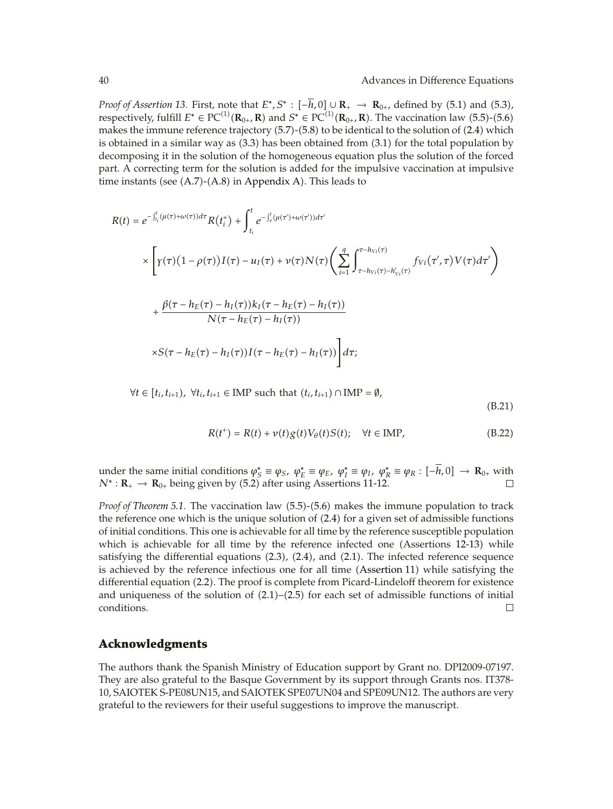*Proof of Assertion 13.* First, note that  $E^*$ ,  $S^*$ :  $[-\overline{h}$ , 0]  $\cup$   $\mathbb{R}_+$   $\rightarrow$   $\mathbb{R}_{0+}$ , defined by (5.1) and (5.3), respectively, fulfill  $E^* \in PC^{(1)}(\mathbf{R}_{0+}, \mathbf{R})$  and  $S^* \in PC^{(1)}(\mathbf{R}_{0+}, \mathbf{R})$ . The vaccination law (5.5)-(5.6) makes the immune reference trajectory (5.7)-(5.8) to be identical to the solution of (2.4) which makes the immune reference trajectory  $(5.7)$ - $(5.8)$  to be identical to the solution of  $(2.4)$  which is obtained in a similar way as  $(3.3)$  has been obtained from  $(3.1)$  for the total population by decomposing it in the solution of the homogeneous equation plus the solution of the forced part. A correcting term for the solution is added for the impulsive vaccination at impulsive time instants (see  $(A.7)-(A.8)$  in Appendix A). This leads to

$$
R(t) = e^{-\int_{t_i}^t (\mu(\tau) + \omega(\tau))d\tau} R(t_i^+) + \int_{t_i}^t e^{-\int_{\tau}^t (\mu(\tau') + \omega(\tau'))d\tau'}
$$
  
 
$$
\times \left[ \gamma(\tau)(1 - \rho(\tau))I(\tau) - u_I(\tau) + \nu(\tau)N(\tau) \left( \sum_{i=1}^q \int_{\tau - h_{Vi}(\tau) - h'_{Vi}(\tau)}^{\tau - h_{Vi}(\tau)} f_{Vi}(\tau', \tau) V(\tau) d\tau' \right) \right.
$$
  
 
$$
+ \frac{\beta(\tau - h_E(\tau) - h_I(\tau))k_I(\tau - h_E(\tau) - h_I(\tau))}{N(\tau - h_E(\tau) - h_I(\tau))}
$$
  
 
$$
\times S(\tau - h_E(\tau) - h_I(\tau))I(\tau - h_E(\tau) - h_I(\tau)) \right] d\tau;
$$

 $\forall t \in [t_i, t_{i+1}), \ \forall t_i, t_{i+1} \in \text{IMP such that } (t_i, t_{i+1}) \cap \text{IMP} = \emptyset,$ 

 $(B.21)$ 

$$
R(t^+) = R(t) + \nu(t)g(t)V_{\theta}(t)S(t); \quad \forall t \in \text{IMP}, \tag{B.22}
$$

under the same initial conditions  $φ^*_S ≡ φ_S$ ,  $φ^*_{E} ≡ φ_E$ ,  $φ^*_{I} ≡ φ_I$ ,  $φ^*_{R} ≡ φ_R$ : [-*h*, 0]  $\rightarrow \mathbf{R}_{0+}$  with  $N^* : \mathbf{R} \rightarrow \mathbf{R}_{\theta}$ , being given by (5.2) after using Assortions 11-12  $N^*$ :  $\mathbf{R}_+ \to \mathbf{R}_{0+}$  being given by (5.2) after using Assertions 11-12.

*Proof of Theorem 5.1.* The vaccination law (5.5)-(5.6) makes the immune population to track the reference one which is the unique solution of  $(2.4)$  for a given set of admissible functions of initial conditions. This one is achievable for all time by the reference susceptible population which is achievable for all time by the reference infected one (Assertions 12-13) while satisfying the differential equations  $(2.3)$ ,  $(2.4)$ , and  $(2.1)$ . The infected reference sequence is achieved by the reference infectious one for all time (Assertion 11) while satisfying the differential equation (2.2). The proof is complete from Picard-Lindeloff theorem for existence and uniqueness of the solution of  $(2.1)$ – $(2.5)$  for each set of admissible functions of initial conditions.  $\Box$ 

### **Acknowledgments**

The authors thank the Spanish Ministry of Education support by Grant no. DPI2009-07197. They are also grateful to the Basque Government by its support through Grants nos. IT378- 10, SAIOTEK S-PE08UN15, and SAIOTEK SPE07UN04 and SPE09UN12. The authors are very grateful to the reviewers for their useful suggestions to improve the manuscript.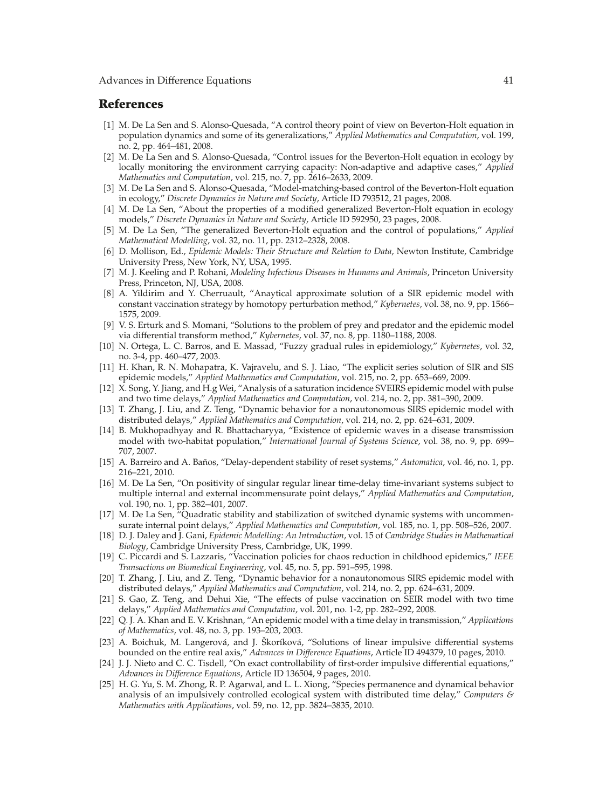### **References**

- [1] M. De La Sen and S. Alonso-Quesada, "A control theory point of view on Beverton-Holt equation in population dynamics and some of its generalizations," *Applied Mathematics and Computation*, vol. 199, no. 2, pp. 464–481, 2008.
- [2] M. De La Sen and S. Alonso-Quesada, "Control issues for the Beverton-Holt equation in ecology by locally monitoring the environment carrying capacity: Non-adaptive and adaptive cases," *Applied Mathematics and Computation*, vol. 215, no. 7, pp. 2616–2633, 2009.
- [3] M. De La Sen and S. Alonso-Quesada, "Model-matching-based control of the Beverton-Holt equation in ecology," *Discrete Dynamics in Nature and Society*, Article ID 793512, 21 pages, 2008.
- [4] M. De La Sen, "About the properties of a modified generalized Beverton-Holt equation in ecology models," *Discrete Dynamics in Nature and Society*, Article ID 592950, 23 pages, 2008.
- 5 M. De La Sen, "The generalized Beverton-Holt equation and the control of populations," *Applied Mathematical Modelling*, vol. 32, no. 11, pp. 2312–2328, 2008.
- 6 D. Mollison, Ed., *Epidemic Models: Their Structure and Relation to Data*, Newton Institute, Cambridge University Press, New York, NY, USA, 1995.
- 7 M. J. Keeling and P. Rohani, *Modeling Infectious Diseases in Humans and Animals*, Princeton University Press, Princeton, NJ, USA, 2008.
- 8 A. Yildirim and Y. Cherruault, "Anaytical approximate solution of a SIR epidemic model with constant vaccination strategy by homotopy perturbation method," *Kybernetes*, vol. 38, no. 9, pp. 1566– 1575, 2009.
- [9] V. S. Erturk and S. Momani, "Solutions to the problem of prey and predator and the epidemic model via differential transform method," *Kybernetes*, vol. 37, no. 8, pp. 1180–1188, 2008.
- 10 N. Ortega, L. C. Barros, and E. Massad, "Fuzzy gradual rules in epidemiology," *Kybernetes*, vol. 32, no. 3-4, pp. 460–477, 2003.
- [11] H. Khan, R. N. Mohapatra, K. Vajravelu, and S. J. Liao, "The explicit series solution of SIR and SIS epidemic models," *Applied Mathematics and Computation*, vol. 215, no. 2, pp. 653–669, 2009.
- 12 X. Song, Y. Jiang, and H.g Wei, "Analysis of a saturation incidence SVEIRS epidemic model with pulse and two time delays," *Applied Mathematics and Computation*, vol. 214, no. 2, pp. 381–390, 2009.
- 13 T. Zhang, J. Liu, and Z. Teng, "Dynamic behavior for a nonautonomous SIRS epidemic model with distributed delays," *Applied Mathematics and Computation*, vol. 214, no. 2, pp. 624–631, 2009.
- 14 B. Mukhopadhyay and R. Bhattacharyya, "Existence of epidemic waves in a disease transmission model with two-habitat population," *International Journal of Systems Science*, vol. 38, no. 9, pp. 699– 707, 2007.
- 15 A. Barreiro and A. Banos, "Delay-dependent stability of reset systems," ˜ *Automatica*, vol. 46, no. 1, pp. 216–221, 2010.
- [16] M. De La Sen, "On positivity of singular regular linear time-delay time-invariant systems subject to multiple internal and external incommensurate point delays," *Applied Mathematics and Computation*, vol. 190, no. 1, pp. 382–401, 2007.
- 17 M. De La Sen, "Quadratic stability and stabilization of switched dynamic systems with uncommensurate internal point delays," *Applied Mathematics and Computation*, vol. 185, no. 1, pp. 508–526, 2007.
- 18 D. J. Daley and J. Gani, *Epidemic Modelling: An Introduction*, vol. 15 of *Cambridge Studies in Mathematical Biology*, Cambridge University Press, Cambridge, UK, 1999.
- 19 C. Piccardi and S. Lazzaris, "Vaccination policies for chaos reduction in childhood epidemics," *IEEE Transactions on Biomedical Engineering*, vol. 45, no. 5, pp. 591–595, 1998.
- [20] T. Zhang, J. Liu, and Z. Teng, "Dynamic behavior for a nonautonomous SIRS epidemic model with distributed delays," *Applied Mathematics and Computation*, vol. 214, no. 2, pp. 624–631, 2009.
- [21] S. Gao, Z. Teng, and Dehui Xie, "The effects of pulse vaccination on SEIR model with two time delays," *Applied Mathematics and Computation*, vol. 201, no. 1-2, pp. 282–292, 2008.
- 22 Q. J. A. Khan and E. V. Krishnan, "An epidemic model with a time delay in transmission," *Applications of Mathematics*, vol. 48, no. 3, pp. 193–203, 2003.
- [23] A. Boichuk, M. Langerová, and J. Škoríková, "Solutions of linear impulsive differential systems bounded on the entire real axis," *Advances in Difference Equations*, Article ID 494379, 10 pages, 2010.
- 24 J. J. Nieto and C. C. Tisdell, "On exact controllability of first-order impulsive differential equations," *Advances in Difference Equations*, Article ID 136504, 9 pages, 2010.
- [25] H. G. Yu, S. M. Zhong, R. P. Agarwal, and L. L. Xiong, "Species permanence and dynamical behavior analysis of an impulsively controlled ecological system with distributed time delay," *Computers & Mathematics with Applications*, vol. 59, no. 12, pp. 3824–3835, 2010.